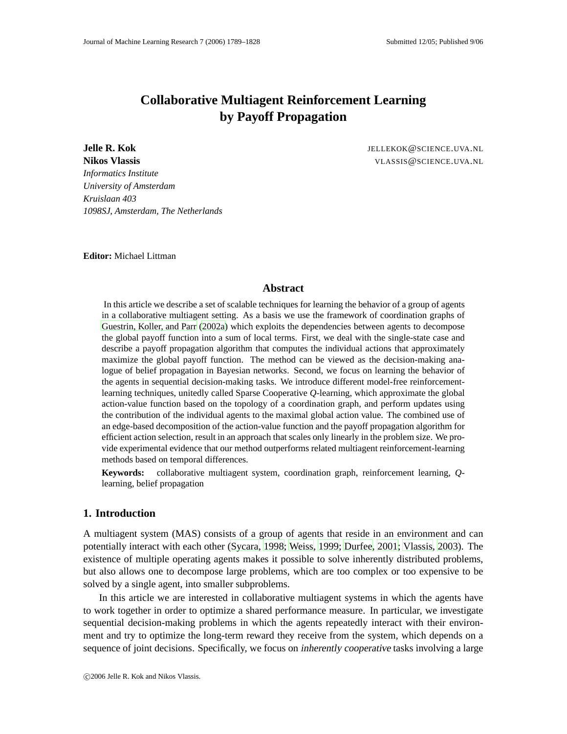# **Collaborative Multiagent Reinforcement Learning by Payoff Propagation**

**Jelle R. Kok** JELLEKOK@SCIENCE.UVA.NL **Nikos Vlassis** VLASSIS@SCIENCE.UVA.NL *Informatics Institute University of Amsterdam Kruislaan 403 1098SJ, Amsterdam, The Netherlands*

**Editor:** Michael Littman

#### **Abstract**

In this article we describe a set of scalable techniques for learning the behavior of a group of agents in a collaborative multiagent setting. As a basis we use the framework of coordination graphs of [Guestrin, Koller, and Parr \(2002a\)](#page-36-0) which exploits the dependencies between agents to decompose the global payoff function into a sum of local terms. First, we deal with the single-state case and describe a payoff propagation algorithm that computes the individual actions that approximately maximize the global payoff function. The method can be viewed as the decision-making analogue of belief propagation in Bayesian networks. Second, we focus on learning the behavior of the agents in sequential decision-making tasks. We introduce different model-free reinforcementlearning techniques, unitedly called Sparse Cooperative *Q*-learning, which approximate the global action-value function based on the topology of a coordination graph, and perform updates using the contribution of the individual agents to the maximal global action value. The combined use of an edge-based decomposition of the action-value function and the payoff propagation algorithm for efficient action selection, result in an approach that scales only linearly in the problem size. We provide experimental evidence that our method outperforms related multiagent reinforcement-learning methods based on temporal differences.

**Keywords:** collaborative multiagent system, coordination graph, reinforcement learning, *Q*learning, belief propagation

#### **1. Introduction**

A multiagent system (MAS) consists of a group of agents that reside in an environment and can potentially interact with each other [\(Sycara](#page-38-0), [1998;](#page-38-0) [Weiss](#page-38-1), [1999;](#page-38-1) [Durfee](#page-36-1), [2001;](#page-36-1) [Vlassis](#page-38-2), [2003\)](#page-38-2). The existence of multiple operating agents makes it possible to solve inherently distributed problems, but also allows one to decompose large problems, which are too complex or too expensive to be solved by a single agent, into smaller subproblems.

In this article we are interested in collaborative multiagent systems in which the agents have to work together in order to optimize a shared performance measure. In particular, we investigate sequential decision-making problems in which the agents repeatedly interact with their environment and try to optimize the long-term reward they receive from the system, which depends on a sequence of joint decisions. Specifically, we focus on *inherently cooperative* tasks involving a large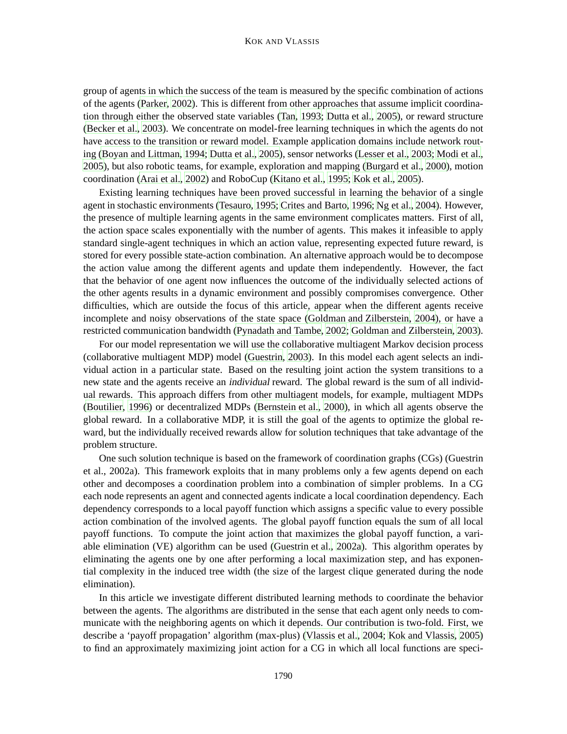group of agents in which the success of the team is measured by the specific combination of actions of the agents [\(Parker](#page-37-0), [2002](#page-37-0)). This is different from other approaches that assume implicit coordination through either the observed state variables [\(Tan](#page-38-3), [1993;](#page-38-3) [Dutta et al.](#page-36-2), [2005\)](#page-36-2), or reward structure [\(Becker et al.](#page-35-0), [2003\)](#page-35-0). We concentrate on model-free learning techniques in which the agents do not have access to the transition or reward model. Example application domains include network routing [\(Boyan and Littman](#page-36-3), [1994](#page-36-3); [Dutta et al., 2005\)](#page-36-2), sensor networks [\(Lesser et al.](#page-37-1), [2003](#page-37-1); [Modi et al.](#page-37-2), [2005\)](#page-37-2), but also robotic teams, for example, exploration and mapping [\(Burgard et al., 2000\)](#page-36-4), motion coordination [\(Arai et al., 2002](#page-35-1)) and RoboCup [\(Kitano et al., 1995](#page-37-3); [Kok et al.](#page-37-4), [2005](#page-37-4)).

Existing learning techniques have been proved successful in learning the behavior of a single agent in stochastic environments [\(Tesauro](#page-38-4), [1995;](#page-38-4) [Crites and Barto, 1996](#page-36-5); [Ng et al.](#page-37-5), [2004\)](#page-37-5). However, the presence of multiple learning agents in the same environment complicates matters. First of all, the action space scales exponentially with the number of agents. This makes it infeasible to apply standard single-agent techniques in which an action value, representing expected future reward, is stored for every possible state-action combination. An alternative approach would be to decompose the action value among the different agents and update them independently. However, the fact that the behavior of one agent now influences the outcome of the individually selected actions of the other agents results in a dynamic environment and possibly compromises convergence. Other difficulties, which are outside the focus of this article, appear when the different agents receive incomplete and noisy observations of the state space [\(Goldman and Zilberstein, 2004](#page-36-6)), or have a restricted communication bandwidth [\(Pynadath and Tambe, 2002;](#page-38-5) [Goldman and](#page-36-7) Zilberstein, [2003\)](#page-36-7).

For our model representation we will use the collaborative multiagent Markov decision process (collaborative multiagent MDP) model [\(Guestrin](#page-36-8), [2003\)](#page-36-8). In this model each agent selects an individual action in a particular state. Based on the resulting joint action the system transitions to a new state and the agents receive an individual reward. The global reward is the sum of all individual rewards. This approach differs from other multiagent models, for example, multiagent MDPs [\(Boutilier](#page-36-9), [1996\)](#page-36-9) or decentralized MDPs [\(Bernstein et al., 2000](#page-35-2)), in which all agents observe the global reward. In a collaborative MDP, it is still the goal of the agents to optimize the global reward, but the individually received rewards allow for solution techniques that take advantage of the problem structure.

One such solution technique is based on the framework of coordination graphs (CGs) (Guestrin et al., 2002a). This framework exploits that in many problems only a few agents depend on each other and decomposes a coordination problem into a combination of simpler problems. In a CG each node represents an agent and connected agents indicate a local coordination dependency. Each dependency corresponds to a local payoff function which assigns a specific value to every possible action combination of the involved agents. The global payoff function equals the sum of all local payoff functions. To compute the joint action that maximizes the global payoff function, a variable elimination (VE) algorithm can be used [\(Guestrin et al.](#page-36-0), [2002a](#page-36-0)). This algorithm operates by eliminating the agents one by one after performing a local maximization step, and has exponential complexity in the induced tree width (the size of the largest clique generated during the node elimination).

In this article we investigate different distributed learning methods to coordinate the behavior between the agents. The algorithms are distributed in the sense that each agent only needs to communicate with the neighboring agents on which it depends. Our contribution is two-fold. First, we describe a 'payoff propagation' algorithm (max-plus) [\(Vlassis et al.](#page-38-6), [2004;](#page-38-6) [Kok and Vlassis, 2005](#page-37-6)) to find an approximately maximizing joint action for a CG in which all local functions are speci-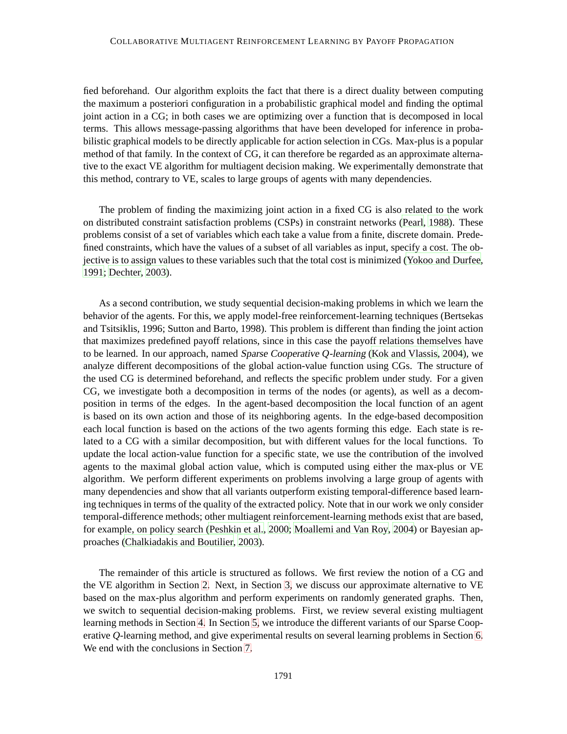fied beforehand. Our algorithm exploits the fact that there is a direct duality between computing the maximum a posteriori configuration in a probabilistic graphical model and finding the optimal joint action in a CG; in both cases we are optimizing over a function that is decomposed in local terms. This allows message-passing algorithms that have been developed for inference in probabilistic graphical models to be directly applicable for action selection in CGs. Max-plus is a popular method of that family. In the context of CG, it can therefore be regarded as an approximate alternative to the exact VE algorithm for multiagent decision making. We experimentally demonstrate that this method, contrary to VE, scales to large groups of agents with many dependencies.

The problem of finding the maximizing joint action in a fixed CG is also related to the work on distributed constraint satisfaction problems (CSPs) in constraint networks [\(Pearl](#page-37-7), [1988\)](#page-37-7). These problems consist of a set of variables which each take a value from a finite, discrete domain. Predefined constraints, which have the values of a subset of all variables as input, specify a cost. The objective is to assign values to these variables such that the total cost is minimized [\(Yokoo and Durfee](#page-39-0), [1991;](#page-39-0) [Dechter](#page-36-10), [2003](#page-36-10)).

As a second contribution, we study sequential decision-making problems in which we learn the behavior of the agents. For this, we apply model-free reinforcement-learning techniques (Bertsekas and Tsitsiklis, 1996; Sutton and Barto, 1998). This problem is different than finding the joint action that maximizes predefined payoff relations, since in this case the payoff relations themselves have to be learned. In our approach, named Sparse Cooperative *Q*-learning [\(Kok and Vlassis, 2004](#page-37-8)), we analyze different decompositions of the global action-value function using CGs. The structure of the used CG is determined beforehand, and reflects the specific problem under study. For a given CG, we investigate both a decomposition in terms of the nodes (or agents), as well as a decomposition in terms of the edges. In the agent-based decomposition the local function of an agent is based on its own action and those of its neighboring agents. In the edge-based decomposition each local function is based on the actions of the two agents forming this edge. Each state is related to a CG with a similar decomposition, but with different values for the local functions. To update the local action-value function for a specific state, we use the contribution of the involved agents to the maximal global action value, which is computed using either the max-plus or VE algorithm. We perform different experiments on problems involving a large group of agents with many dependencies and show that all variants outperform existing temporal-difference based learning techniques in terms of the quality of the extracted policy. Note that in our work we only consider temporal-difference methods; other multiagent reinforcement-learning methods exist that are based, for example, on policy search [\(Peshkin et al., 2000](#page-38-7); [Moallemi and Van Roy](#page-37-9), [2004\)](#page-37-9) or Bayesian approaches [\(Chalkiadakis and Boutilier](#page-36-11), [2003](#page-36-11)).

The remainder of this article is structured as follows. We first review the notion of a CG and the VE algorithm in Section [2.](#page-3-0) Next, in Section [3,](#page-5-0) we discuss our approximate alternative to VE based on the max-plus algorithm and perform experiments on randomly generated graphs. Then, we switch to sequential decision-making problems. First, we review several existing multiagent learning methods in Section [4.](#page-12-0) In Section [5,](#page-17-0) we introduce the different variants of our Sparse Cooperative *Q*-learning method, and give experimental results on several learning problems in Section [6.](#page-22-0) We end with the conclusions in Section [7.](#page-33-0)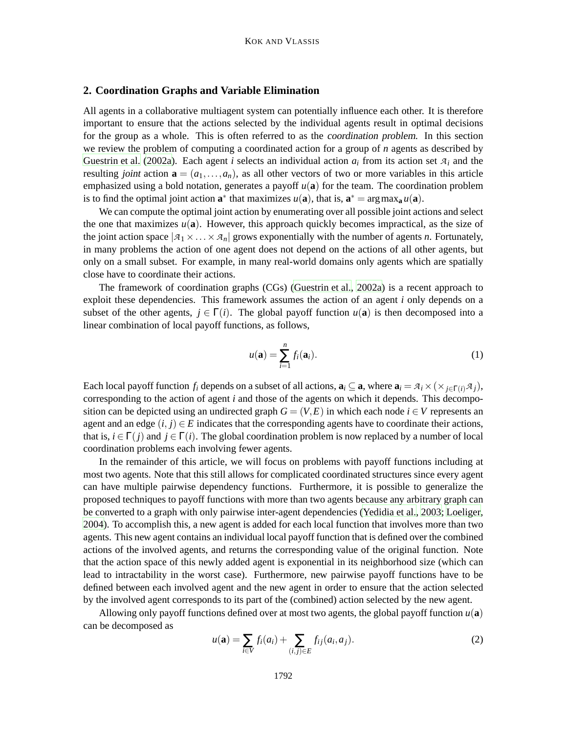# <span id="page-3-0"></span>**2. Coordination Graphs and Variable Elimination**

All agents in a collaborative multiagent system can potentially influence each other. It is therefore important to ensure that the actions selected by the individual agents result in optimal decisions for the group as a whole. This is often referred to as the coordination problem. In this section we review the problem of computing a coordinated action for a group of *n* agents as described by [Guestrin et al.](#page-36-0) [\(2002a](#page-36-0)). Each agent *i* selects an individual action  $a_i$  from its action set  $a_i$  and the resulting joint action  $\mathbf{a} = (a_1, \ldots, a_n)$ , as all other vectors of two or more variables in this article emphasized using a bold notation, generates a payoff  $u(\mathbf{a})$  for the team. The coordination problem is to find the optimal joint action  $\mathbf{a}^*$  that maximizes  $u(\mathbf{a})$ , that is,  $\mathbf{a}^* = \arg \max_{\mathbf{a}} u(\mathbf{a})$ .

We can compute the optimal joint action by enumerating over all possible joint actions and select the one that maximizes  $u(\mathbf{a})$ . However, this approach quickly becomes impractical, as the size of the joint action space  $|A_1 \times \ldots \times A_n|$  grows exponentially with the number of agents *n*. Fortunately, in many problems the action of one agent does not depend on the actions of all other agents, but only on a small subset. For example, in many real-world domains only agents which are spatially close have to coordinate their actions.

The framework of coordination graphs (CGs) [\(Guestrin et al.](#page-36-0), [2002a](#page-36-0)) is a recent approach to exploit these dependencies. This framework assumes the action of an agent *i* only depends on a subset of the other agents,  $j \in \Gamma(i)$ . The global payoff function  $u(\mathbf{a})$  is then decomposed into a linear combination of local payoff functions, as follows,

$$
u(\mathbf{a}) = \sum_{i=1}^{n} f_i(\mathbf{a}_i).
$$
 (1)

Each local payoff function  $f_i$  depends on a subset of all actions,  $\mathbf{a}_i \subseteq \mathbf{a}$ , where  $\mathbf{a}_i = \mathcal{A}_i \times (\times_{j \in \Gamma(i)} \mathcal{A}_j)$ , corresponding to the action of agent *i* and those of the agents on which it depends. This decomposition can be depicted using an undirected graph  $G = (V, E)$  in which each node  $i \in V$  represents an agent and an edge  $(i, j) \in E$  indicates that the corresponding agents have to coordinate their actions, that is,  $i \in \Gamma(i)$  and  $j \in \Gamma(i)$ . The global coordination problem is now replaced by a number of local coordination problems each involving fewer agents.

In the remainder of this article, we will focus on problems with payoff functions including at most two agents. Note that this still allows for complicated coordinated structures since every agent can have multiple pairwise dependency functions. Furthermore, it is possible to generalize the proposed techniques to payoff functions with more than two agents because any arbitrary graph can be converted to a graph with only pairwise inter-agent dependencies [\(Yedidia et al., 2003;](#page-38-8) [Loeliger](#page-37-10), [2004\)](#page-37-10). To accomplish this, a new agent is added for each local function that involves more than two agents. This new agent contains an individual local payoff function that is defined over the combined actions of the involved agents, and returns the corresponding value of the original function. Note that the action space of this newly added agent is exponential in its neighborhood size (which can lead to intractability in the worst case). Furthermore, new pairwise payoff functions have to be defined between each involved agent and the new agent in order to ensure that the action selected by the involved agent corresponds to its part of the (combined) action selected by the new agent.

<span id="page-3-1"></span>Allowing only payoff functions defined over at most two agents, the global payoff function  $u(\mathbf{a})$ can be decomposed as

$$
u(\mathbf{a}) = \sum_{i \in V} f_i(a_i) + \sum_{(i,j) \in E} f_{ij}(a_i, a_j).
$$
 (2)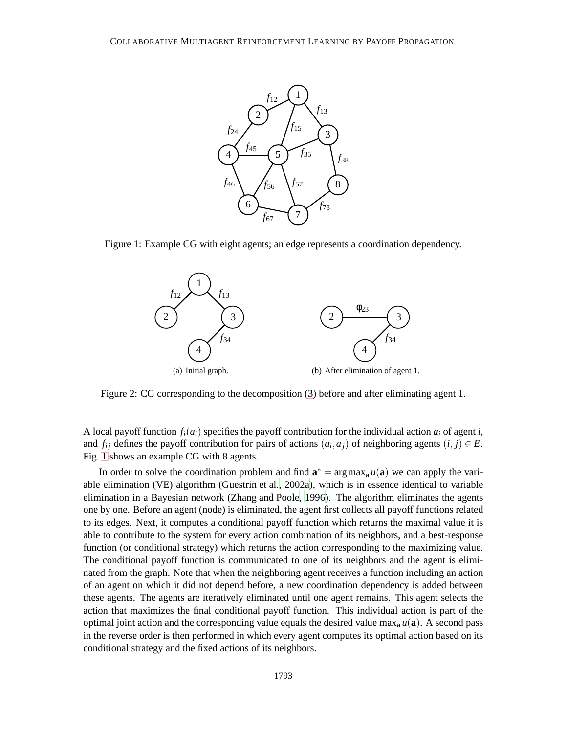

<span id="page-4-1"></span><span id="page-4-0"></span>Figure 1: Example CG with eight agents; an edge represents a coordination dependency.

<span id="page-4-2"></span>

Figure 2: CG corresponding to the decomposition [\(3\)](#page-5-1) before and after eliminating agent 1.

A local payoff function  $f_i(a_i)$  specifies the payoff contribution for the individual action  $a_i$  of agent *i*, and  $f_{ij}$  defines the payoff contribution for pairs of actions  $(a_i, a_j)$  of neighboring agents  $(i, j) \in E$ . Fig. [1](#page-4-0) shows an example CG with 8 agents.

In order to solve the coordination problem and find  $\mathbf{a}^* = \arg \max_{\mathbf{a}} u(\mathbf{a})$  we can apply the variable elimination (VE) algorithm [\(Guestrin et al.](#page-36-0), [2002a](#page-36-0)), which is in essence identical to variable elimination in a Bayesian network [\(Zhang and Poole](#page-39-1), [1996](#page-39-1)). The algorithm eliminates the agents one by one. Before an agent (node) is eliminated, the agent first collects all payoff functions related to its edges. Next, it computes a conditional payoff function which returns the maximal value it is able to contribute to the system for every action combination of its neighbors, and a best-response function (or conditional strategy) which returns the action corresponding to the maximizing value. The conditional payoff function is communicated to one of its neighbors and the agent is eliminated from the graph. Note that when the neighboring agent receives a function including an action of an agent on which it did not depend before, a new coordination dependency is added between these agents. The agents are iteratively eliminated until one agent remains. This agent selects the action that maximizes the final conditional payoff function. This individual action is part of the optimal joint action and the corresponding value equals the desired value max<sub>a</sub>  $u(\mathbf{a})$ . A second pass in the reverse order is then performed in which every agent computes its optimal action based on its conditional strategy and the fixed actions of its neighbors.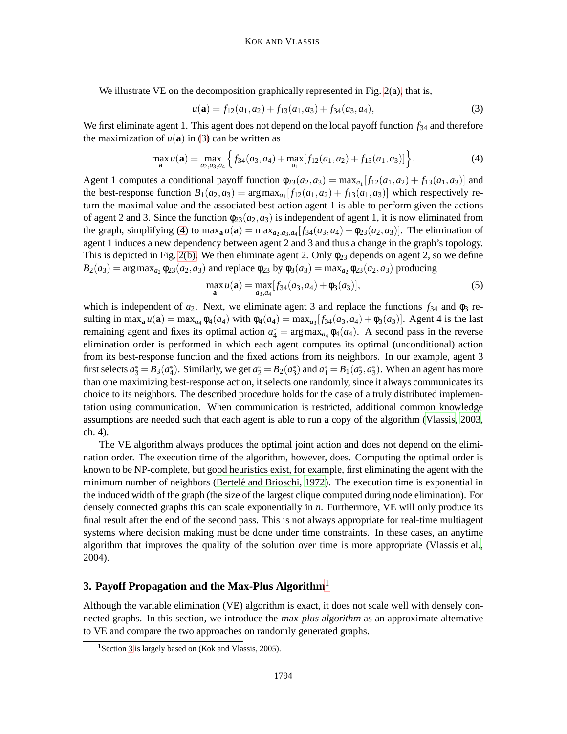We illustrate VE on the decomposition graphically represented in Fig. [2\(a\),](#page-4-1) that is,

<span id="page-5-2"></span><span id="page-5-1"></span>
$$
u(\mathbf{a}) = f_{12}(a_1, a_2) + f_{13}(a_1, a_3) + f_{34}(a_3, a_4),
$$
\n(3)

We first eliminate agent 1. This agent does not depend on the local payoff function  $f_{34}$  and therefore the maximization of  $u(\mathbf{a})$  in [\(3\)](#page-5-1) can be written as

$$
\max_{\mathbf{a}} u(\mathbf{a}) = \max_{a_2, a_3, a_4} \left\{ f_{34}(a_3, a_4) + \max_{a_1} [f_{12}(a_1, a_2) + f_{13}(a_1, a_3)] \right\}.
$$
 (4)

Agent 1 computes a conditional payoff function  $\phi_{23}(a_2,a_3) = \max_{a_1} [f_{12}(a_1,a_2) + f_{13}(a_1,a_3)]$  and the best-response function  $B_1(a_2,a_3) = \arg \max_{a_1} [f_{12}(a_1,a_2) + f_{13}(a_1,a_3)]$  which respectively return the maximal value and the associated best action agent 1 is able to perform given the actions of agent 2 and 3. Since the function  $\phi_{23}(a_2,a_3)$  is independent of agent 1, it is now eliminated from the graph, simplifying [\(4\)](#page-5-2) to  $\max_{a} u(a) = \max_{a_2, a_3, a_4} [f_{34}(a_3, a_4) + \phi_{23}(a_2, a_3)]$ . The elimination of agent 1 induces a new dependency between agent 2 and 3 and thus a change in the graph's topology. This is depicted in Fig. [2\(b\).](#page-4-2) We then eliminate agent 2. Only  $\phi_{23}$  depends on agent 2, so we define  $B_2(a_3) = \arg \max_{a_2} \phi_{23}(a_2, a_3)$  and replace  $\phi_{23}$  by  $\phi_3(a_3) = \max_{a_2} \phi_{23}(a_2, a_3)$  producing

$$
\max_{\mathbf{a}} u(\mathbf{a}) = \max_{a_3, a_4} [f_{34}(a_3, a_4) + \phi_3(a_3)],\tag{5}
$$

which is independent of  $a_2$ . Next, we eliminate agent 3 and replace the functions  $f_{34}$  and  $\phi_3$  resulting in max<sub>a</sub>  $u(\mathbf{a}) = \max_{a_4} \phi_4(a_4)$  with  $\phi_4(a_4) = \max_{a_3} [f_{34}(a_3, a_4) + \phi_3(a_3)]$ . Agent 4 is the last remaining agent and fixes its optimal action  $a_4^* = \arg \max_{a_4} \phi_4(a_4)$ . A second pass in the reverse elimination order is performed in which each agent computes its optimal (unconditional) action from its best-response function and the fixed actions from its neighbors. In our example, agent 3 first selects  $a_3^* = B_3(a_4^*)$ . Similarly, we get  $a_2^* = B_2(a_3^*)$  and  $a_1^* = B_1(a_2^*, a_3^*)$ . When an agent has more than one maximizing best-response action, it selects one randomly, since it always communicates its choice to its neighbors. The described procedure holds for the case of a truly distributed implementation using communication. When communication is restricted, additional common knowledge assumptions are needed such that each agent is able to run a copy of the algorithm [\(Vlassis, 2003](#page-38-2), ch. 4).

The VE algorithm always produces the optimal joint action and does not depend on the elimination order. The execution time of the algorithm, however, does. Computing the optimal order is known to be NP-complete, but good heuristics exist, for example, first eliminating the agent with the minimum number of neighbors (Bertelé and Brioschi, [1972](#page-35-3)). The execution time is exponential in the induced width of the graph (the size of the largest clique computed during node elimination). For densely connected graphs this can scale exponentially in *n*. Furthermore, VE will only produce its final result after the end of the second pass. This is not always appropriate for real-time multiagent systems where decision making must be done under time constraints. In these cases, an anytime algorithm that improves the quality of the solution over time is more appropriate [\(Vlassis et al.](#page-38-6), [2004\)](#page-38-6).

# <span id="page-5-0"></span>**3. Payoff Propagation and the Max-Plus Algorithm**<sup>1</sup>

Although the variable elimination (VE) algorithm is exact, it does not scale well with densely connected graphs. In this section, we introduce the max-plus algorithm as an approximate alternative to VE and compare the two approaches on randomly generated graphs.

<sup>&</sup>lt;sup>1</sup> Section [3](#page-5-0) is largely based on (Kok and Vlassis, 2005).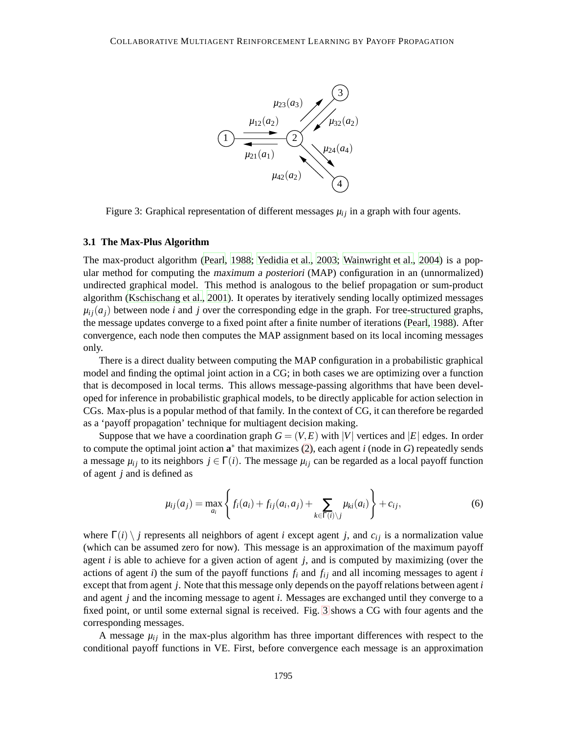

Figure 3: Graphical representation of different messages  $\mu_{ij}$  in a graph with four agents.

#### <span id="page-6-0"></span>**3.1 The Max-Plus Algorithm**

The max-product algorithm [\(Pearl, 1988](#page-37-7); [Yedidia et al., 2003](#page-38-8); [Wainwright et al.](#page-38-9), [2004\)](#page-38-9) is a popular method for computing the maximum <sup>a</sup> posteriori (MAP) configuration in an (unnormalized) undirected graphical model. This method is analogous to the belief propagation or sum-product algorithm [\(Kschischang et al., 2001\)](#page-37-11). It operates by iteratively sending locally optimized messages  $\mu_{ij}(a_i)$  between node *i* and *j* over the corresponding edge in the graph. For tree-structured graphs, the message updates converge to a fixed point after a finite number of iterations [\(Pearl](#page-37-7), [1988](#page-37-7)). After convergence, each node then computes the MAP assignment based on its local incoming messages only.

There is a direct duality between computing the MAP configuration in a probabilistic graphical model and finding the optimal joint action in a CG; in both cases we are optimizing over a function that is decomposed in local terms. This allows message-passing algorithms that have been developed for inference in probabilistic graphical models, to be directly applicable for action selection in CGs. Max-plus is a popular method of that family. In the context of CG, it can therefore be regarded as a 'payoff propagation' technique for multiagent decision making.

Suppose that we have a coordination graph  $G = (V, E)$  with  $|V|$  vertices and  $|E|$  edges. In order to compute the optimal joint action  $a^*$  that maximizes [\(2\)](#page-3-1), each agent *i* (node in *G*) repeatedly sends a message  $\mu_{ij}$  to its neighbors  $j \in \Gamma(i)$ . The message  $\mu_{ij}$  can be regarded as a local payoff function of agent *j* and is defined as

<span id="page-6-1"></span>
$$
\mu_{ij}(a_j) = \max_{a_i} \left\{ f_i(a_i) + f_{ij}(a_i, a_j) + \sum_{k \in \Gamma(i) \setminus j} \mu_{ki}(a_i) \right\} + c_{ij},
$$
\n(6)

where  $\Gamma(i) \setminus j$  represents all neighbors of agent *i* except agent *j*, and  $c_{ij}$  is a normalization value (which can be assumed zero for now). This message is an approximation of the maximum payoff agent *i* is able to achieve for a given action of agent *j*, and is computed by maximizing (over the actions of agent *i*) the sum of the payoff functions  $f_i$  and  $f_{ij}$  and all incoming messages to agent *i* except that from agent *j*. Note that this message only depends on the payoff relations between agent *i* and agent *j* and the incoming message to agent *i*. Messages are exchanged until they converge to a fixed point, or until some external signal is received. Fig. [3](#page-6-0) shows a CG with four agents and the corresponding messages.

A message  $\mu_{ij}$  in the max-plus algorithm has three important differences with respect to the conditional payoff functions in VE. First, before convergence each message is an approximation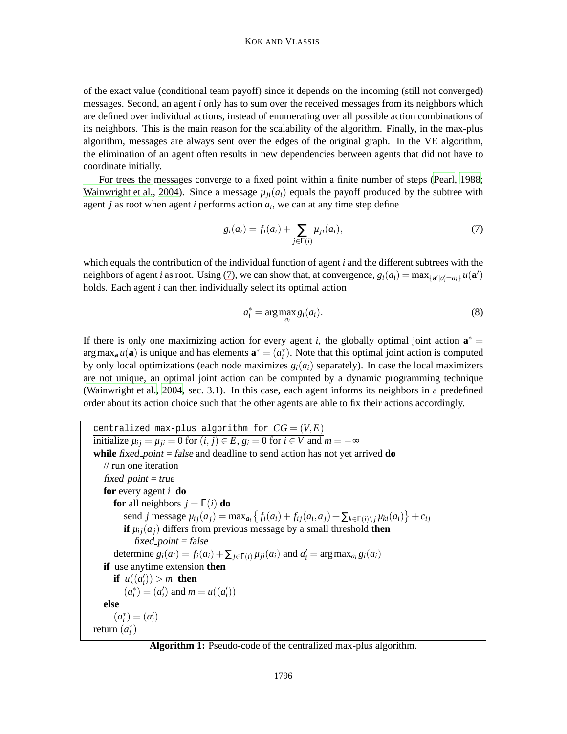of the exact value (conditional team payoff) since it depends on the incoming (still not converged) messages. Second, an agent *i* only has to sum over the received messages from its neighbors which are defined over individual actions, instead of enumerating over all possible action combinations of its neighbors. This is the main reason for the scalability of the algorithm. Finally, in the max-plus algorithm, messages are always sent over the edges of the original graph. In the VE algorithm, the elimination of an agent often results in new dependencies between agents that did not have to coordinate initially.

For trees the messages converge to a fixed point within a finite number of steps [\(Pearl, 1988;](#page-37-7) [Wainwright et al.](#page-38-9), [2004](#page-38-9)). Since a message  $\mu_{ij}(a_i)$  equals the payoff produced by the subtree with agent *j* as root when agent *i* performs action *a<sup>i</sup>* , we can at any time step define

<span id="page-7-0"></span>
$$
g_i(a_i) = f_i(a_i) + \sum_{j \in \Gamma(i)} \mu_{ji}(a_i),
$$
\n(7)

which equals the contribution of the individual function of agent *i* and the different subtrees with the neighbors of agent *i* as root. Using [\(7\)](#page-7-0), we can show that, at convergence,  $g_i(a_i) = \max_{\{a' | a'_i = a_i\}} u(a')$ holds. Each agent *i* can then individually select its optimal action

<span id="page-7-1"></span>
$$
a_i^* = \arg \max_{a_i} g_i(a_i). \tag{8}
$$

If there is only one maximizing action for every agent *i*, the globally optimal joint action  $\mathbf{a}^* =$  $\arg \max_{\mathbf{a}} u(\mathbf{a})$  is unique and has elements  $\mathbf{a}^* = (a_i^*)$ . Note that this optimal joint action is computed by only local optimizations (each node maximizes  $g_i(a_i)$  separately). In case the local maximizers are not unique, an optimal joint action can be computed by a dynamic programming technique [\(Wainwright et al., 2004,](#page-38-9) sec. 3.1). In this case, each agent informs its neighbors in a predefined order about its action choice such that the other agents are able to fix their actions accordingly.

centralized max-plus algorithm for  $CG = (V, E)$  $\text{initialize } \mu_{ij} = \mu_{ji} = 0 \text{ for } (i, j) \in E, g_i = 0 \text{ for } i \in V \text{ and } m = -\infty$ **while** fixed point = false and deadline to send action has not yet arrived **do** // run one iteration  $fixed$ -point = true **for** every agent *i* **do for** all neighbors  $j = \Gamma(i)$  **do** send j message  $\mu_{ij}(a_j) = \max_{a_i} \{f_i(a_i) + f_{ij}(a_i, a_j) + \sum_{k \in \Gamma(i) \setminus j} \mu_{ki}(a_i)\} + c_{ij}$ **if**  $\mu_{ij}(a_i)$  differs from previous message by a small threshold **then**  $fixed$ -point = false determine  $g_i(a_i) = f_i(a_i) + \sum_{j \in \Gamma(i)} \mu_{ji}(a_i)$  and  $a'_i = \arg \max_{a_i} g_i(a_i)$ **if** use anytime extension **then if**  $u((a_i')) > m$  **then**  $(a_i^*) = (a_i')$  and  $m = u((a_i'))$ **else**  $(a_i^*) = (a_i')$ return  $(a_i^*)$ 

<span id="page-7-2"></span>**Algorithm 1:** Pseudo-code of the centralized max-plus algorithm.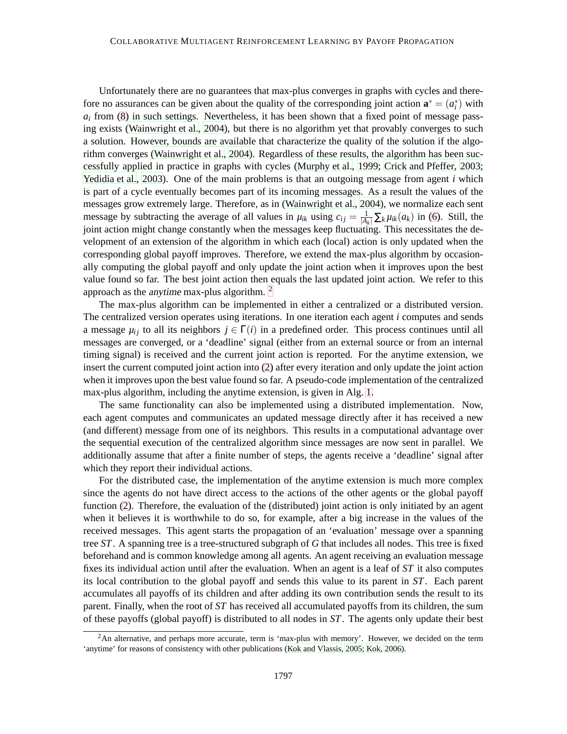Unfortunately there are no guarantees that max-plus converges in graphs with cycles and therefore no assurances can be given about the quality of the corresponding joint action  $\mathbf{a}^* = (a_i^*)$  with  $a_i$  from  $(8)$  in such settings. Nevertheless, it has been shown that a fixed point of message passing exists [\(Wainwright et al.](#page-38-9), [2004](#page-38-9)), but there is no algorithm yet that provably converges to such a solution. However, bounds are available that characterize the quality of the solution if the algorithm converges [\(Wainwright et al., 2004](#page-38-9)). Regardless of these results, the algorithm has been successfully applied in practice in graphs with cycles [\(Murphy et al.](#page-37-12), [1999;](#page-37-12) [Crick and Pfeffer, 2003;](#page-36-12) [Yedidia et al.](#page-38-8), [2003\)](#page-38-8). One of the main problems is that an outgoing message from agent *i* which is part of a cycle eventually becomes part of its incoming messages. As a result the values of the messages grow extremely large. Therefore, as in [\(Wainwright et al.](#page-38-9), [2004\)](#page-38-9), we normalize each sent message by subtracting the average of all values in  $\mu_{ik}$  using  $c_{ij} = \frac{1}{|A_k|} \sum_k \mu_{ik}(a_k)$  in [\(6\)](#page-6-1). Still, the joint action might change constantly when the messages keep fluctuating. This necessitates the development of an extension of the algorithm in which each (local) action is only updated when the corresponding global payoff improves. Therefore, we extend the max-plus algorithm by occasionally computing the global payoff and only update the joint action when it improves upon the best value found so far. The best joint action then equals the last updated joint action. We refer to this approach as the *anytime* max-plus algorithm.  $2^2$ 

The max-plus algorithm can be implemented in either a centralized or a distributed version. The centralized version operates using iterations. In one iteration each agent *i* computes and sends a message  $\mu_i$  to all its neighbors  $j \in \Gamma(i)$  in a predefined order. This process continues until all messages are converged, or a 'deadline' signal (either from an external source or from an internal timing signal) is received and the current joint action is reported. For the anytime extension, we insert the current computed joint action into [\(2\)](#page-3-1) after every iteration and only update the joint action when it improves upon the best value found so far. A pseudo-code implementation of the centralized max-plus algorithm, including the anytime extension, is given in Alg. [1.](#page-7-2)

The same functionality can also be implemented using a distributed implementation. Now, each agent computes and communicates an updated message directly after it has received a new (and different) message from one of its neighbors. This results in a computational advantage over the sequential execution of the centralized algorithm since messages are now sent in parallel. We additionally assume that after a finite number of steps, the agents receive a 'deadline' signal after which they report their individual actions.

For the distributed case, the implementation of the anytime extension is much more complex since the agents do not have direct access to the actions of the other agents or the global payoff function [\(2\)](#page-3-1). Therefore, the evaluation of the (distributed) joint action is only initiated by an agent when it believes it is worthwhile to do so, for example, after a big increase in the values of the received messages. This agent starts the propagation of an 'evaluation' message over a spanning tree *ST*. A spanning tree is a tree-structured subgraph of *G* that includes all nodes. This tree is fixed beforehand and is common knowledge among all agents. An agent receiving an evaluation message fixes its individual action until after the evaluation. When an agent is a leaf of *ST* it also computes its local contribution to the global payoff and sends this value to its parent in *ST*. Each parent accumulates all payoffs of its children and after adding its own contribution sends the result to its parent. Finally, when the root of *ST* has received all accumulated payoffs from its children, the sum of these payoffs (global payoff) is distributed to all nodes in *ST*. The agents only update their best

<sup>&</sup>lt;sup>2</sup>An alternative, and perhaps more accurate, term is 'max-plus with memory'. However, we decided on the term 'anytime' for reasons of consistency with other publications [\(Kok and Vlassis, 2005](#page-37-6); [Kok](#page-37-13), [2006\)](#page-37-13).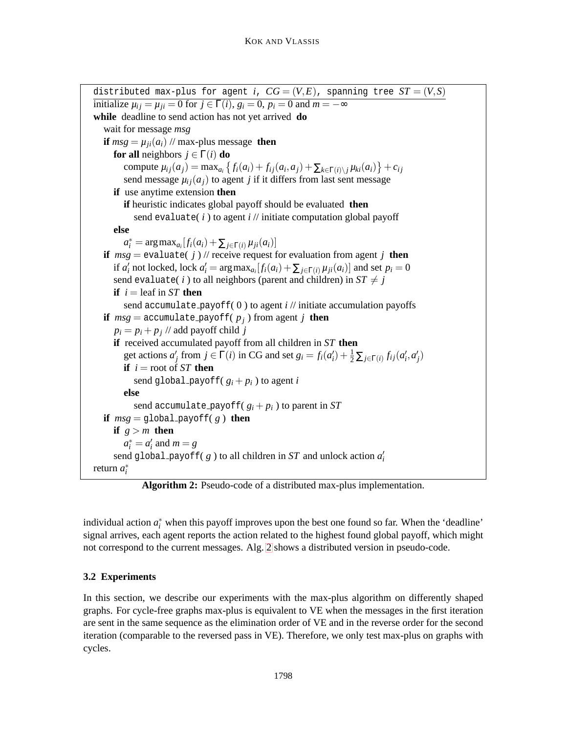```
distributed max-plus for agent i, CG = (V, E), spanning tree ST = (V, S)initialize \mu_{ij} = \mu_{ji} = 0 for j \in \Gamma(i), g_i = 0, p_i = 0 and m = -\inftywhile deadline to send action has not yet arrived do
   wait for message msg
  if msg = \mu_{ji}(a_i) // max-plus message then
     for all neighbors j \in \Gamma(i) do
         compute \mu_{ij}(a_j) = \max_{a_i} \left\{ f_i(a_i) + f_{ij}(a_i, a_j) + \sum_{k \in \Gamma(i) \setminus j} \mu_{ki}(a_i) \right\} + c_{ij}send message \mu_{ij}(a_j) to agent j if it differs from last sent message
     if use anytime extension then
        if heuristic indicates global payoff should be evaluated then
           send evaluate( i ) to agent i // initiate computation global payoff
     else
         a_i^* = \arg \max_{a_i} [f_i(a_i) + \sum_{j \in \Gamma(i)} \mu_{ji}(a_i)]if msg = \text{evaluate}(j) // receive request for evaluation from agent j then
      if a'_i not locked, lock a'_i = \arg \max_{a_i} [f_i(a_i) + \sum_{j \in \Gamma(i)} \mu_{ji}(a_i)] and set p_i = 0send evaluate(i) to all neighbors (parent and children) in ST \neq jif i = leaf in ST then
        send accumulate payoff(0) to agent i // initiate accumulation payoffs
  if msg = \text{accumulate\_payoff}(p_i) from agent j then
      p_i = p_i + p_j // add payoff child j
     if received accumulated payoff from all children in ST then
         get actions a'_j from j \in \Gamma(i) in CG and set g_i = f_i(a'_i) + \frac{1}{2} \sum_{j \in \Gamma(i)} f_{ij}(a'_i, a'_j)if i = root of ST then
           send global payoff(g_i + p_i) to agent i
        else
           send accumulate_payoff(g_i + p_i) to parent in ST
  if msg = \text{global\_payoff}( g) then
     if g > m then
         a_i^* = a_i' and m = g\mathbf{s}end g\mathtt{label\_payoff(} \ g ) to all children in ST and unlock action a'_ireturn a
∗
i
```
**Algorithm 2:** Pseudo-code of a distributed max-plus implementation.

<span id="page-9-0"></span>individual action  $a_i^*$  when this payoff improves upon the best one found so far. When the 'deadline' signal arrives, each agent reports the action related to the highest found global payoff, which might not correspond to the current messages. Alg. [2](#page-9-0) shows a distributed version in pseudo-code.

# <span id="page-9-1"></span>**3.2 Experiments**

In this section, we describe our experiments with the max-plus algorithm on differently shaped graphs. For cycle-free graphs max-plus is equivalent to VE when the messages in the first iteration are sent in the same sequence as the elimination order of VE and in the reverse order for the second iteration (comparable to the reversed pass in VE). Therefore, we only test max-plus on graphs with cycles.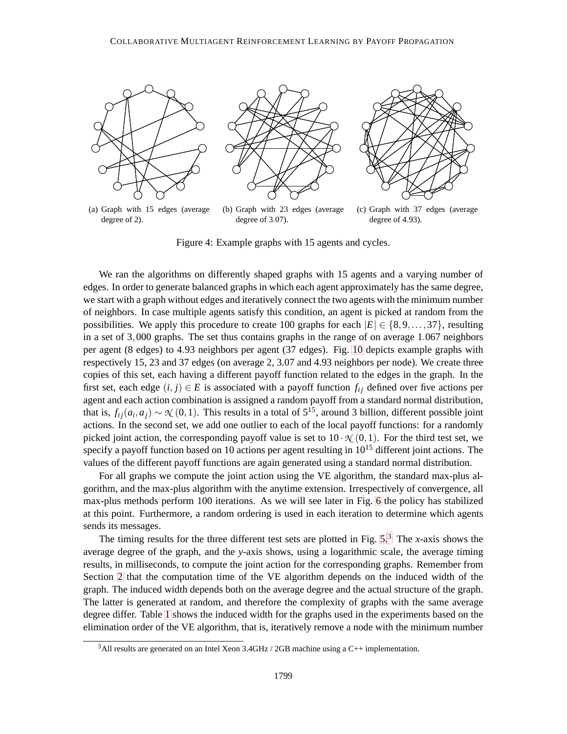

Figure 4: Example graphs with 15 agents and cycles.

We ran the algorithms on differently shaped graphs with 15 agents and a varying number of edges. In order to generate balanced graphs in which each agent approximately has the same degree, we start with a graph without edges and iteratively connect the two agents with the minimum number of neighbors. In case multiple agents satisfy this condition, an agent is picked at random from the possibilities. We apply this procedure to create 100 graphs for each  $|E| \in \{8, 9, \ldots, 37\}$ , resulting in a set of 3,000 graphs. The set thus contains graphs in the range of on average 1.067 neighbors per agent (8 edges) to 4.93 neighbors per agent (37 edges). Fig. [10](#page-24-0) depicts example graphs with respectively 15, 23 and 37 edges (on average 2, 3.07 and 4.93 neighbors per node). We create three copies of this set, each having a different payoff function related to the edges in the graph. In the first set, each edge  $(i, j) \in E$  is associated with a payoff function  $f_{ij}$  defined over five actions per agent and each action combination is assigned a random payoff from a standard normal distribution, that is,  $f_{ij}(a_i, a_j) \sim \mathcal{N}(0, 1)$ . This results in a total of  $5^{15}$ , around 3 billion, different possible joint actions. In the second set, we add one outlier to each of the local payoff functions: for a randomly picked joint action, the corresponding payoff value is set to  $10 \cdot \mathcal{N}(0,1)$ . For the third test set, we specify a payoff function based on 10 actions per agent resulting in  $10^{15}$  different joint actions. The values of the different payoff functions are again generated using a standard normal distribution.

For all graphs we compute the joint action using the VE algorithm, the standard max-plus algorithm, and the max-plus algorithm with the anytime extension. Irrespectively of convergence, all max-plus methods perform 100 iterations. As we will see later in Fig. [6](#page-13-0) the policy has stabilized at this point. Furthermore, a random ordering is used in each iteration to determine which agents sends its messages.

The timing results for the three different test sets are plotted in Fig.  $5<sup>3</sup>$ . The *x*-axis shows the average degree of the graph, and the *y*-axis shows, using a logarithmic scale, the average timing results, in milliseconds, to compute the joint action for the corresponding graphs. Remember from Section [2](#page-3-0) that the computation time of the VE algorithm depends on the induced width of the graph. The induced width depends both on the average degree and the actual structure of the graph. The latter is generated at random, and therefore the complexity of graphs with the same average degree differ. Table [1](#page-11-1) shows the induced width for the graphs used in the experiments based on the elimination order of the VE algorithm, that is, iteratively remove a node with the minimum number

 $3$ All results are generated on an Intel Xeon  $3.4$ GHz / 2GB machine using a C++ implementation.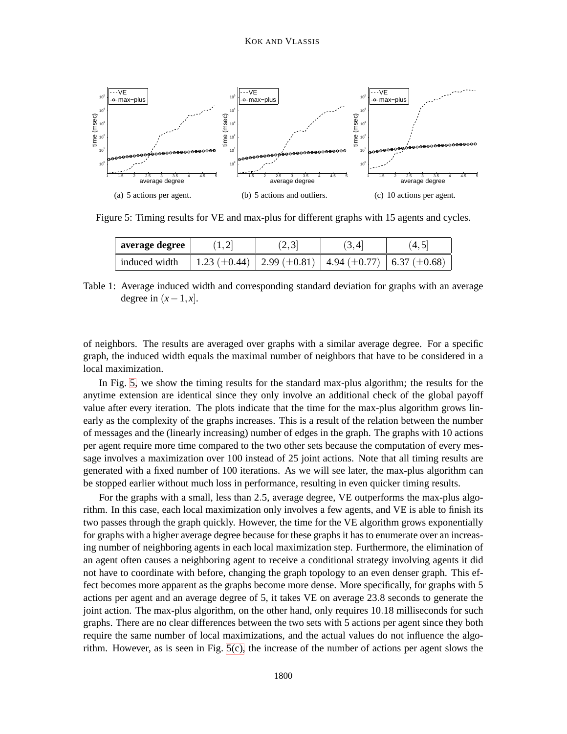

<span id="page-11-0"></span>Figure 5: Timing results for VE and max-plus for different graphs with 15 agents and cycles.

<span id="page-11-2"></span>

| average degree | (1, 2) | (2,3)                                                                         | (3, 4) | (4.5 |
|----------------|--------|-------------------------------------------------------------------------------|--------|------|
| induced width  |        | 1.23 $(\pm 0.44)$   2.99 $(\pm 0.81)$   4.94 $(\pm 0.77)$   6.37 $(\pm 0.68)$ |        |      |

<span id="page-11-1"></span>Table 1: Average induced width and corresponding standard deviation for graphs with an average degree in  $(x-1, x]$ .

of neighbors. The results are averaged over graphs with a similar average degree. For a specific graph, the induced width equals the maximal number of neighbors that have to be considered in a local maximization.

In Fig. [5,](#page-11-0) we show the timing results for the standard max-plus algorithm; the results for the anytime extension are identical since they only involve an additional check of the global payoff value after every iteration. The plots indicate that the time for the max-plus algorithm grows linearly as the complexity of the graphs increases. This is a result of the relation between the number of messages and the (linearly increasing) number of edges in the graph. The graphs with 10 actions per agent require more time compared to the two other sets because the computation of every message involves a maximization over 100 instead of 25 joint actions. Note that all timing results are generated with a fixed number of 100 iterations. As we will see later, the max-plus algorithm can be stopped earlier without much loss in performance, resulting in even quicker timing results.

For the graphs with a small, less than 2.5, average degree, VE outperforms the max-plus algorithm. In this case, each local maximization only involves a few agents, and VE is able to finish its two passes through the graph quickly. However, the time for the VE algorithm grows exponentially for graphs with a higher average degree because for these graphs it has to enumerate over an increasing number of neighboring agents in each local maximization step. Furthermore, the elimination of an agent often causes a neighboring agent to receive a conditional strategy involving agents it did not have to coordinate with before, changing the graph topology to an even denser graph. This effect becomes more apparent as the graphs become more dense. More specifically, for graphs with 5 actions per agent and an average degree of 5, it takes VE on average 23.8 seconds to generate the joint action. The max-plus algorithm, on the other hand, only requires 10.18 milliseconds for such graphs. There are no clear differences between the two sets with 5 actions per agent since they both require the same number of local maximizations, and the actual values do not influence the algorithm. However, as is seen in Fig.  $5(c)$ , the increase of the number of actions per agent slows the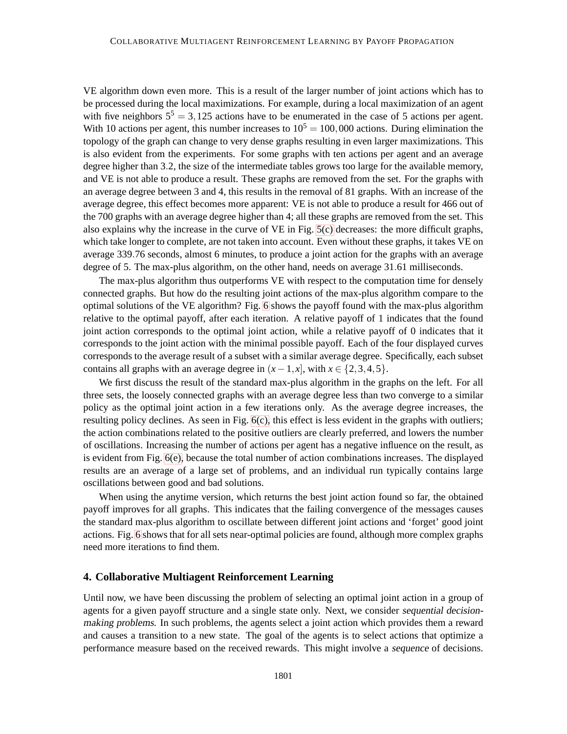VE algorithm down even more. This is a result of the larger number of joint actions which has to be processed during the local maximizations. For example, during a local maximization of an agent with five neighbors  $5^5 = 3,125$  actions have to be enumerated in the case of 5 actions per agent. With 10 actions per agent, this number increases to  $10^5 = 100,000$  actions. During elimination the topology of the graph can change to very dense graphs resulting in even larger maximizations. This is also evident from the experiments. For some graphs with ten actions per agent and an average degree higher than 3.2, the size of the intermediate tables grows too large for the available memory, and VE is not able to produce a result. These graphs are removed from the set. For the graphs with an average degree between 3 and 4, this results in the removal of 81 graphs. With an increase of the average degree, this effect becomes more apparent: VE is not able to produce a result for 466 out of the 700 graphs with an average degree higher than 4; all these graphs are removed from the set. This also explains why the increase in the curve of VE in Fig. [5\(c\)](#page-11-2) decreases: the more difficult graphs, which take longer to complete, are not taken into account. Even without these graphs, it takes VE on average 339.76 seconds, almost 6 minutes, to produce a joint action for the graphs with an average degree of 5. The max-plus algorithm, on the other hand, needs on average 31.61 milliseconds.

The max-plus algorithm thus outperforms VE with respect to the computation time for densely connected graphs. But how do the resulting joint actions of the max-plus algorithm compare to the optimal solutions of the VE algorithm? Fig. [6](#page-13-0) shows the payoff found with the max-plus algorithm relative to the optimal payoff, after each iteration. A relative payoff of 1 indicates that the found joint action corresponds to the optimal joint action, while a relative payoff of 0 indicates that it corresponds to the joint action with the minimal possible payoff. Each of the four displayed curves corresponds to the average result of a subset with a similar average degree. Specifically, each subset contains all graphs with an average degree in  $(x-1, x]$ , with  $x \in \{2, 3, 4, 5\}$ .

We first discuss the result of the standard max-plus algorithm in the graphs on the left. For all three sets, the loosely connected graphs with an average degree less than two converge to a similar policy as the optimal joint action in a few iterations only. As the average degree increases, the resulting policy declines. As seen in Fig.  $6(c)$ , this effect is less evident in the graphs with outliers; the action combinations related to the positive outliers are clearly preferred, and lowers the number of oscillations. Increasing the number of actions per agent has a negative influence on the result, as is evident from Fig. [6\(e\),](#page-13-2) because the total number of action combinations increases. The displayed results are an average of a large set of problems, and an individual run typically contains large oscillations between good and bad solutions.

When using the anytime version, which returns the best joint action found so far, the obtained payoff improves for all graphs. This indicates that the failing convergence of the messages causes the standard max-plus algorithm to oscillate between different joint actions and 'forget' good joint actions. Fig. [6](#page-13-0) shows that for all sets near-optimal policies are found, although more complex graphs need more iterations to find them.

## <span id="page-12-0"></span>**4. Collaborative Multiagent Reinforcement Learning**

Until now, we have been discussing the problem of selecting an optimal joint action in a group of agents for a given payoff structure and a single state only. Next, we consider sequential decisionmaking problems. In such problems, the agents select a joint action which provides them a reward and causes a transition to a new state. The goal of the agents is to select actions that optimize a performance measure based on the received rewards. This might involve a sequence of decisions.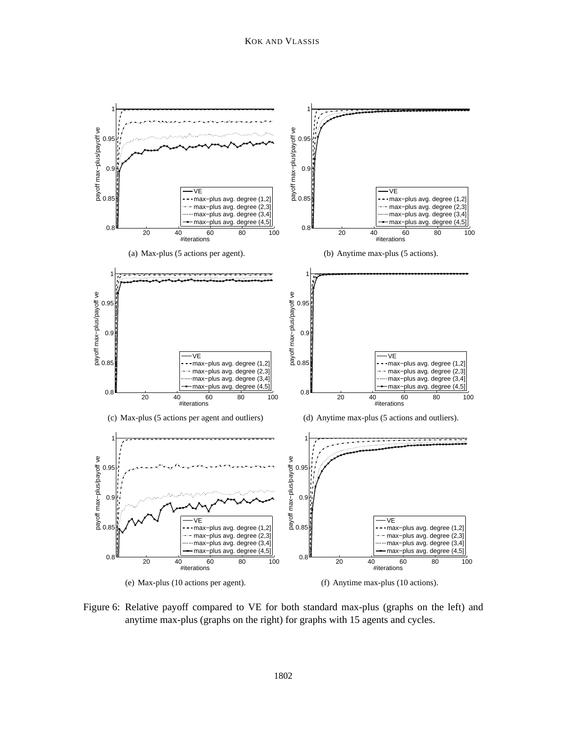

<span id="page-13-2"></span><span id="page-13-1"></span><span id="page-13-0"></span>Figure 6: Relative payoff compared to VE for both standard max-plus (graphs on the left) and anytime max-plus (graphs on the right) for graphs with 15 agents and cycles.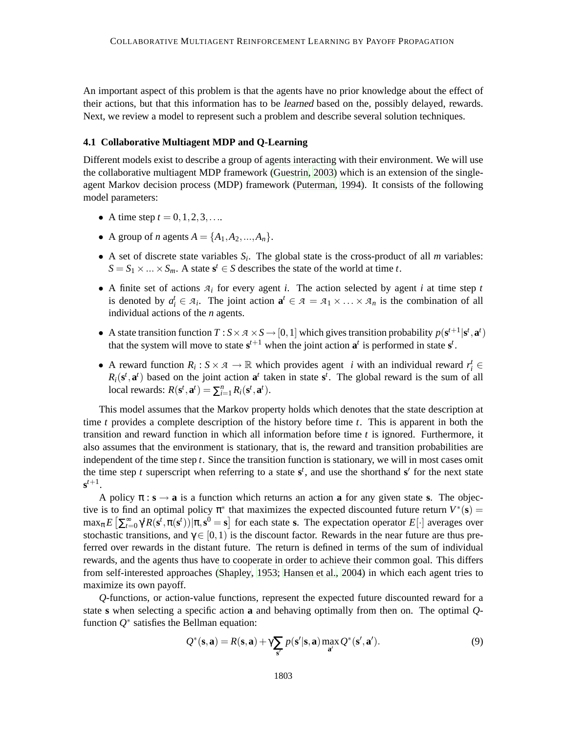An important aspect of this problem is that the agents have no prior knowledge about the effect of their actions, but that this information has to be learned based on the, possibly delayed, rewards. Next, we review a model to represent such a problem and describe several solution techniques.

## **4.1 Collaborative Multiagent MDP and Q-Learning**

Different models exist to describe a group of agents interacting with their environment. We will use the collaborative multiagent MDP framework [\(Guestrin](#page-36-8), [2003](#page-36-8)) which is an extension of the singleagent Markov decision process (MDP) framework [\(Puterman, 1994\)](#page-38-10). It consists of the following model parameters:

- A time step  $t = 0, 1, 2, 3, ...$
- A group of *n* agents  $A = \{A_1, A_2, ..., A_n\}.$
- A set of discrete state variables  $S_i$ . The global state is the cross-product of all *m* variables:  $S = S_1 \times \ldots \times S_m$ . A state  $s^t \in S$  describes the state of the world at time *t*.
- A finite set of actions *A<sup>i</sup>* for every agent *i*. The action selected by agent *i* at time step *t* is denoted by  $a_i^t \in A_i$ . The joint action  $\mathbf{a}^t \in A = A_1 \times \ldots \times A_n$  is the combination of all individual actions of the *n* agents.
- A state transition function  $T : S \times A \times S \rightarrow [0,1]$  which gives transition probability  $p(\mathbf{s}^{t+1} | \mathbf{s}^t, \mathbf{a}^t)$ that the system will move to state  $s^{t+1}$  when the joint action  $a^t$  is performed in state  $s^t$ .
- A reward function  $R_i$ :  $S \times A \rightarrow \mathbb{R}$  which provides agent *i* with an individual reward  $r_i^t \in$  $R_i(\mathbf{s}^t, \mathbf{a}^t)$  based on the joint action  $\mathbf{a}^t$  taken in state  $\mathbf{s}^t$ . The global reward is the sum of all local rewards:  $R(\mathbf{s}^t, \mathbf{a}^t) = \sum_{i=1}^n R_i(\mathbf{s}^t, \mathbf{a}^t)$ .

This model assumes that the Markov property holds which denotes that the state description at time *t* provides a complete description of the history before time *t*. This is apparent in both the transition and reward function in which all information before time *t* is ignored. Furthermore, it also assumes that the environment is stationary, that is, the reward and transition probabilities are independent of the time step *t*. Since the transition function is stationary, we will in most cases omit the time step *t* superscript when referring to a state  $s^t$ , and use the shorthand  $s'$  for the next state  $\mathbf{s}^{t+1}$ .

A policy  $\pi$ :  $\mathbf{s} \rightarrow \mathbf{a}$  is a function which returns an action **a** for any given state **s**. The objective is to find an optimal policy  $\pi^*$  that maximizes the expected discounted future return  $V^*(s)$  =  $\max_{\pi} E\left[\sum_{t=0}^{\infty} \gamma^t R(\mathbf{s}^t, \pi(\mathbf{s}^t)) | \pi, \mathbf{s}^0 = \mathbf{s}\right]$  for each state **s**. The expectation operator  $E[\cdot]$  averages over stochastic transitions, and  $\gamma \in [0,1)$  is the discount factor. Rewards in the near future are thus preferred over rewards in the distant future. The return is defined in terms of the sum of individual rewards, and the agents thus have to cooperate in order to achieve their common goal. This differs from self-interested approaches [\(Shapley](#page-38-11), [1953;](#page-38-11) [Hansen et al., 2004\)](#page-37-14) in which each agent tries to maximize its own payoff.

*Q*-functions, or action-value functions, represent the expected future discounted reward for a state **s** when selecting a specific action **a** and behaving optimally from then on. The optimal *Q*function  $Q^*$  satisfies the Bellman equation:

$$
Q^*(\mathbf{s}, \mathbf{a}) = R(\mathbf{s}, \mathbf{a}) + \gamma \sum_{\mathbf{s}'} p(\mathbf{s}'|\mathbf{s}, \mathbf{a}) \max_{\mathbf{a}'} Q^*(\mathbf{s}', \mathbf{a}'). \tag{9}
$$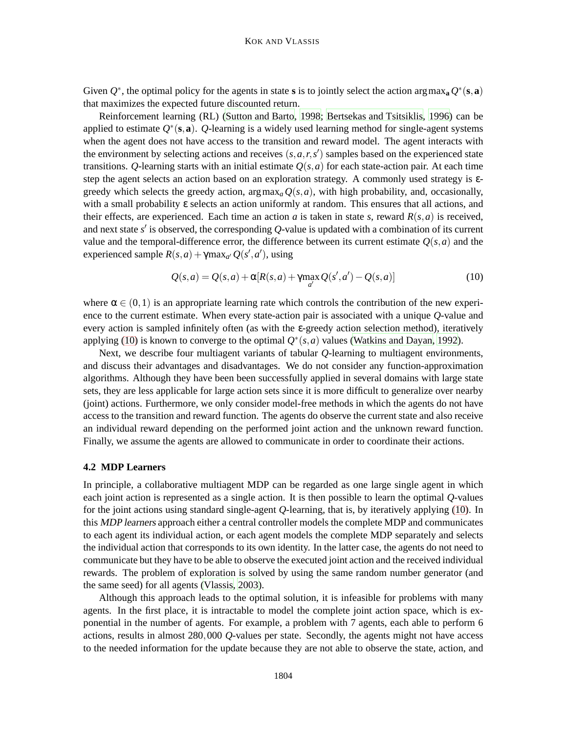Given  $Q^*$ , the optimal policy for the agents in state **s** is to jointly select the action argmax<sub>a</sub>  $Q^*(s, a)$ that maximizes the expected future discounted return.

Reinforcement learning (RL) [\(Sutton and Barto, 1998](#page-38-12); [Bertsekas and Tsitsiklis, 1996](#page-35-4)) can be applied to estimate *Q* ∗ (**s**,**a**). *Q*-learning is a widely used learning method for single-agent systems when the agent does not have access to the transition and reward model. The agent interacts with the environment by selecting actions and receives  $(s, a, r, s')$  samples based on the experienced state transitions. *Q*-learning starts with an initial estimate  $Q(s, a)$  for each state-action pair. At each time step the agent selects an action based on an exploration strategy. A commonly used strategy is εgreedy which selects the greedy action,  $\arg \max_a Q(s, a)$ , with high probability, and, occasionally, with a small probability ε selects an action uniformly at random. This ensures that all actions, and their effects, are experienced. Each time an action *a* is taken in state *s*, reward  $R(s, a)$  is received, and next state *s* ′ is observed, the corresponding *Q*-value is updated with a combination of its current value and the temporal-difference error, the difference between its current estimate  $Q(s, a)$  and the experienced sample  $R(s, a) + \gamma \max_{a'} Q(s', a')$ , using

<span id="page-15-0"></span>
$$
Q(s,a) = Q(s,a) + \alpha [R(s,a) + \gamma \max_{a'} Q(s',a') - Q(s,a)]
$$
\n(10)

where  $\alpha \in (0,1)$  is an appropriate learning rate which controls the contribution of the new experience to the current estimate. When every state-action pair is associated with a unique *Q*-value and every action is sampled infinitely often (as with the  $\varepsilon$ -greedy action selection method), iteratively applying [\(10\)](#page-15-0) is known to converge to the optimal  $Q^*(s, a)$  values [\(Watkins and Dayan](#page-38-13), [1992](#page-38-13)).

Next, we describe four multiagent variants of tabular *Q*-learning to multiagent environments, and discuss their advantages and disadvantages. We do not consider any function-approximation algorithms. Although they have been been successfully applied in several domains with large state sets, they are less applicable for large action sets since it is more difficult to generalize over nearby (joint) actions. Furthermore, we only consider model-free methods in which the agents do not have access to the transition and reward function. The agents do observe the current state and also receive an individual reward depending on the performed joint action and the unknown reward function. Finally, we assume the agents are allowed to communicate in order to coordinate their actions.

#### **4.2 MDP Learners**

In principle, a collaborative multiagent MDP can be regarded as one large single agent in which each joint action is represented as a single action. It is then possible to learn the optimal *Q*-values for the joint actions using standard single-agent *Q*-learning, that is, by iteratively applying [\(10\)](#page-15-0). In this MDP learners approach either a central controller models the complete MDP and communicates to each agent its individual action, or each agent models the complete MDP separately and selects the individual action that corresponds to its own identity. In the latter case, the agents do not need to communicate but they have to be able to observe the executed joint action and the received individual rewards. The problem of exploration is solved by using the same random number generator (and the same seed) for all agents [\(Vlassis, 2003](#page-38-2)).

Although this approach leads to the optimal solution, it is infeasible for problems with many agents. In the first place, it is intractable to model the complete joint action space, which is exponential in the number of agents. For example, a problem with 7 agents, each able to perform 6 actions, results in almost 280,000 *Q*-values per state. Secondly, the agents might not have access to the needed information for the update because they are not able to observe the state, action, and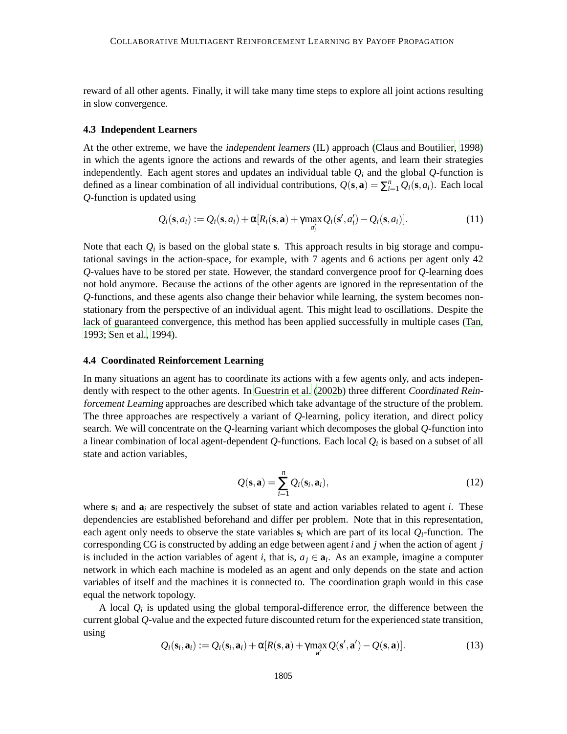reward of all other agents. Finally, it will take many time steps to explore all joint actions resulting in slow convergence.

#### **4.3 Independent Learners**

At the other extreme, we have the independent learners (IL) approach [\(Claus and Boutilier, 1998](#page-36-13)) in which the agents ignore the actions and rewards of the other agents, and learn their strategies independently. Each agent stores and updates an individual table  $Q_i$  and the global  $Q$ -function is defined as a linear combination of all individual contributions,  $Q(s, a) = \sum_{i=1}^{n} Q_i(s, a_i)$ . Each local *Q*-function is updated using

<span id="page-16-1"></span>
$$
Q_i(\mathbf{s}, a_i) := Q_i(\mathbf{s}, a_i) + \alpha [R_i(\mathbf{s}, \mathbf{a}) + \gamma \max_{a'_i} Q_i(\mathbf{s}', a'_i) - Q_i(\mathbf{s}, a_i)].
$$
\n(11)

Note that each  $Q_i$  is based on the global state **s**. This approach results in big storage and computational savings in the action-space, for example, with 7 agents and 6 actions per agent only 42 *Q*-values have to be stored per state. However, the standard convergence proof for *Q*-learning does not hold anymore. Because the actions of the other agents are ignored in the representation of the *Q*-functions, and these agents also change their behavior while learning, the system becomes nonstationary from the perspective of an individual agent. This might lead to oscillations. Despite the lack of guaranteed convergence, this method has been applied successfully in multiple cases [\(Tan](#page-38-3), [1993;](#page-38-3) [Sen et al., 1994](#page-38-14)).

## **4.4 Coordinated Reinforcement Learning**

In many situations an agent has to coordinate its actions with a few agents only, and acts independently with respect to the other agents. In [Guestrin et al.](#page-36-14) [\(2002b\)](#page-36-14) three different Coordinated Reinforcement Learning approaches are described which take advantage of the structure of the problem. The three approaches are respectively a variant of *Q*-learning, policy iteration, and direct policy search. We will concentrate on the *Q*-learning variant which decomposes the global *Q*-function into a linear combination of local agent-dependent  $Q$ -functions. Each local  $Q_i$  is based on a subset of all state and action variables,

$$
Q(\mathbf{s}, \mathbf{a}) = \sum_{i=1}^{n} Q_i(\mathbf{s}_i, \mathbf{a}_i),
$$
\n(12)

where  $s_i$  and  $a_i$  are respectively the subset of state and action variables related to agent *i*. These dependencies are established beforehand and differ per problem. Note that in this representation, each agent only needs to observe the state variables  $s_i$  which are part of its local  $Q_i$ -function. The corresponding CG is constructed by adding an edge between agent *i* and *j* when the action of agent *j* is included in the action variables of agent *i*, that is,  $a_j \in \mathbf{a}_i$ . As an example, imagine a computer network in which each machine is modeled as an agent and only depends on the state and action variables of itself and the machines it is connected to. The coordination graph would in this case equal the network topology.

<span id="page-16-0"></span>A local  $Q_i$  is updated using the global temporal-difference error, the difference between the current global *Q*-value and the expected future discounted return for the experienced state transition, using

$$
Q_i(\mathbf{s}_i, \mathbf{a}_i) := Q_i(\mathbf{s}_i, \mathbf{a}_i) + \alpha [R(\mathbf{s}, \mathbf{a}) + \gamma \max_{\mathbf{a}'} Q(\mathbf{s}', \mathbf{a}') - Q(\mathbf{s}, \mathbf{a})]. \tag{13}
$$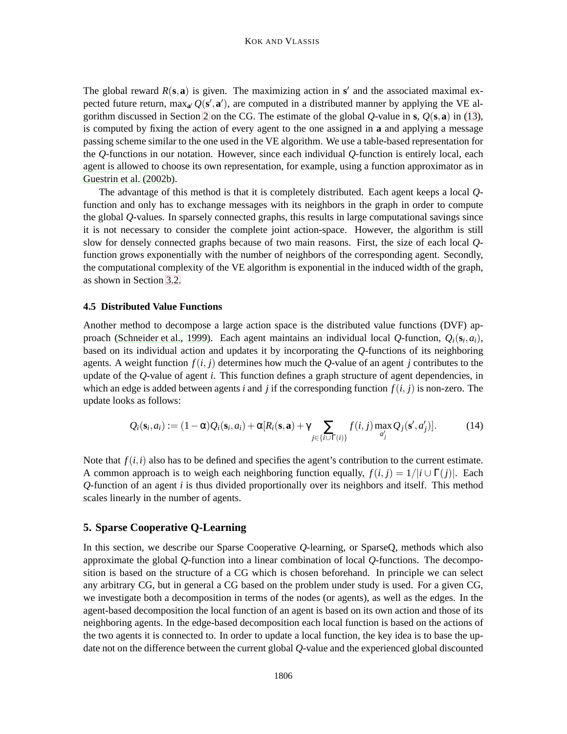The global reward  $R(s, a)$  is given. The maximizing action in  $s'$  and the associated maximal expected future return, max<sub>a'</sub>  $Q(s', a')$ , are computed in a distributed manner by applying the VE algorithm discussed in Section [2](#page-3-0) on the CG. The estimate of the global *Q*-value in **s**, *Q*(**s**,**a**) in [\(13\)](#page-16-0), is computed by fixing the action of every agent to the one assigned in **a** and applying a message passing scheme similar to the one used in the VE algorithm. We use a table-based representation for the *Q*-functions in our notation. However, since each individual *Q*-function is entirely local, each agent is allowed to choose its own representation, for example, using a function approximator as in [Guestrin et al.](#page-36-14) [\(2002b](#page-36-14)).

The advantage of this method is that it is completely distributed. Each agent keeps a local *Q*function and only has to exchange messages with its neighbors in the graph in order to compute the global *Q*-values. In sparsely connected graphs, this results in large computational savings since it is not necessary to consider the complete joint action-space. However, the algorithm is still slow for densely connected graphs because of two main reasons. First, the size of each local *Q*function grows exponentially with the number of neighbors of the corresponding agent. Secondly, the computational complexity of the VE algorithm is exponential in the induced width of the graph, as shown in Section [3.2.](#page-9-1)

#### **4.5 Distributed Value Functions**

Another method to decompose a large action space is the distributed value functions (DVF) approach [\(Schneider et al.](#page-38-15), [1999\)](#page-38-15). Each agent maintains an individual local *Q*-function, *Qi*(**s***<sup>i</sup>* ,*ai*), based on its individual action and updates it by incorporating the *Q*-functions of its neighboring agents. A weight function  $f(i, j)$  determines how much the *Q*-value of an agent *j* contributes to the update of the *Q*-value of agent *i*. This function defines a graph structure of agent dependencies, in which an edge is added between agents *i* and *j* if the corresponding function  $f(i, j)$  is non-zero. The update looks as follows:

<span id="page-17-1"></span>
$$
Q_i(\mathbf{s}_i, a_i) := (1 - \alpha) Q_i(\mathbf{s}_i, a_i) + \alpha [R_i(\mathbf{s}, \mathbf{a}) + \gamma \sum_{j \in \{i \cup \Gamma(i)\}} f(i, j) \max_{a'_j} Q_j(\mathbf{s}', a'_j)]. \tag{14}
$$

Note that  $f(i,i)$  also has to be defined and specifies the agent's contribution to the current estimate. A common approach is to weigh each neighboring function equally,  $f(i, j) = 1/|i \cup \Gamma(j)|$ . Each *Q*-function of an agent *i* is thus divided proportionally over its neighbors and itself. This method scales linearly in the number of agents.

#### <span id="page-17-0"></span>**5. Sparse Cooperative Q-Learning**

In this section, we describe our Sparse Cooperative *Q*-learning, or SparseQ, methods which also approximate the global *Q*-function into a linear combination of local *Q*-functions. The decomposition is based on the structure of a CG which is chosen beforehand. In principle we can select any arbitrary CG, but in general a CG based on the problem under study is used. For a given CG, we investigate both a decomposition in terms of the nodes (or agents), as well as the edges. In the agent-based decomposition the local function of an agent is based on its own action and those of its neighboring agents. In the edge-based decomposition each local function is based on the actions of the two agents it is connected to. In order to update a local function, the key idea is to base the update not on the difference between the current global *Q*-value and the experienced global discounted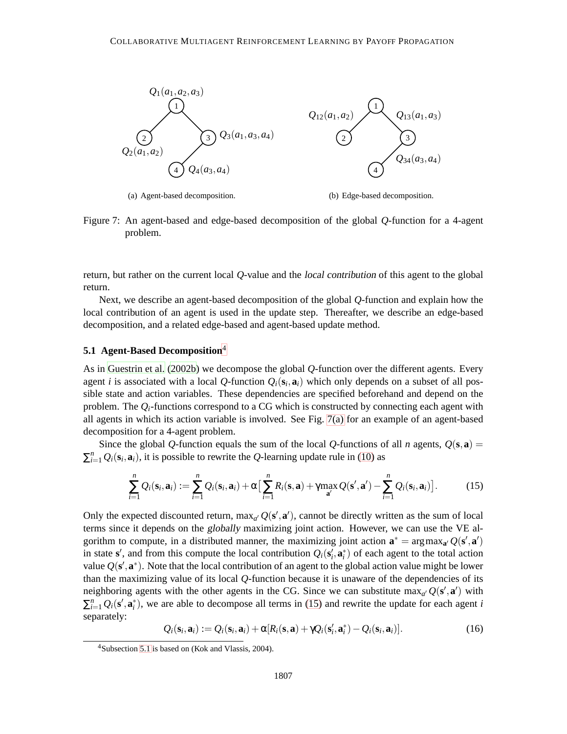<span id="page-18-0"></span>

<span id="page-18-3"></span>(a) Agent-based decomposition.

(b) Edge-based decomposition.

Figure 7: An agent-based and edge-based decomposition of the global *Q*-function for a 4-agent problem.

return, but rather on the current local *Q*-value and the local contribution of this agent to the global return.

Next, we describe an agent-based decomposition of the global *Q*-function and explain how the local contribution of an agent is used in the update step. Thereafter, we describe an edge-based decomposition, and a related edge-based and agent-based update method.

## <span id="page-18-2"></span>**5.1 Agent-Based Decomposition**<sup>4</sup>

As in [Guestrin et al. \(2002b\)](#page-36-14) we decompose the global *Q*-function over the different agents. Every agent *i* is associated with a local Q-function  $Q_i(\mathbf{s}_i, \mathbf{a}_i)$  which only depends on a subset of all possible state and action variables. These dependencies are specified beforehand and depend on the problem. The  $Q_i$ -functions correspond to a CG which is constructed by connecting each agent with all agents in which its action variable is involved. See Fig. [7\(a\)](#page-18-0) for an example of an agent-based decomposition for a 4-agent problem.

Since the global *Q*-function equals the sum of the local *Q*-functions of all *n* agents,  $Q(s, a)$  =  $\sum_{i=1}^{n} Q_i(\mathbf{s}_i, \mathbf{a}_i)$ , it is possible to rewrite the *Q*-learning update rule in [\(10\)](#page-15-0) as

<span id="page-18-1"></span>
$$
\sum_{i=1}^n Q_i(\mathbf{s}_i, \mathbf{a}_i) := \sum_{i=1}^n Q_i(\mathbf{s}_i, \mathbf{a}_i) + \alpha \left[ \sum_{i=1}^n R_i(\mathbf{s}, \mathbf{a}) + \gamma \max_{\mathbf{a}'} Q(\mathbf{s}', \mathbf{a}') - \sum_{i=1}^n Q_i(\mathbf{s}_i, \mathbf{a}_i) \right].
$$
 (15)

Only the expected discounted return,  $\max_{a'} Q(\mathbf{s}', \mathbf{a}')$ , cannot be directly written as the sum of local terms since it depends on the globally maximizing joint action. However, we can use the VE algorithm to compute, in a distributed manner, the maximizing joint action  $\mathbf{a}^* = \arg \max_{\mathbf{a}'} Q(\mathbf{s}', \mathbf{a}')$ in state **s**', and from this compute the local contribution  $Q_i$ **(s**<sub>i</sub>, **a**<sub>i</sub>) of each agent to the total action value  $Q(\mathbf{s}', \mathbf{a}^*)$ . Note that the local contribution of an agent to the global action value might be lower than the maximizing value of its local *Q*-function because it is unaware of the dependencies of its neighboring agents with the other agents in the CG. Since we can substitute  $\max_{a'} Q(\mathbf{s}', \mathbf{a}')$  with  $\sum_{i=1}^{n} Q_i(\mathbf{s}', \mathbf{a}_i^*)$ , we are able to decompose all terms in [\(15\)](#page-18-1) and rewrite the update for each agent *i* separately:

$$
Q_i(\mathbf{s}_i, \mathbf{a}_i) := Q_i(\mathbf{s}_i, \mathbf{a}_i) + \alpha [R_i(\mathbf{s}, \mathbf{a}) + \gamma Q_i(\mathbf{s}'_i, \mathbf{a}^*_i) - Q_i(\mathbf{s}_i, \mathbf{a}_i)].
$$
\n(16)

<span id="page-18-4"></span><sup>4</sup>Subsection [5.1](#page-18-2) is based on (Kok and Vlassis, 2004).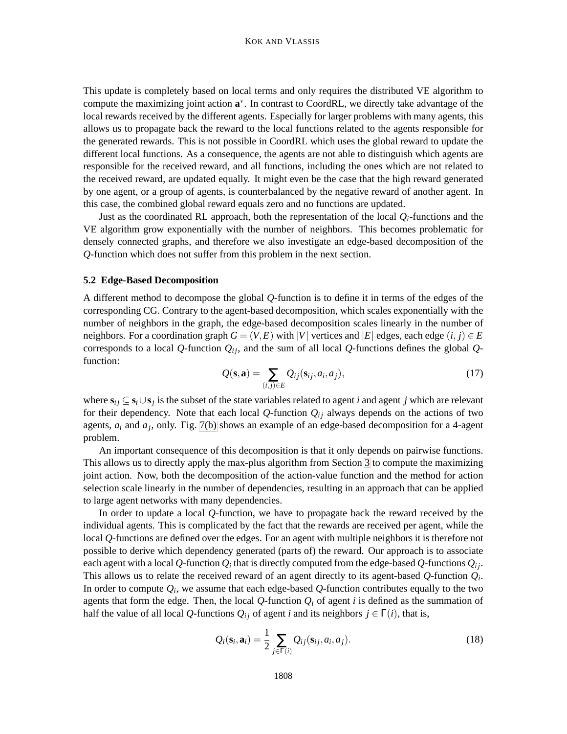This update is completely based on local terms and only requires the distributed VE algorithm to compute the maximizing joint action **a** ∗ . In contrast to CoordRL, we directly take advantage of the local rewards received by the different agents. Especially for larger problems with many agents, this allows us to propagate back the reward to the local functions related to the agents responsible for the generated rewards. This is not possible in CoordRL which uses the global reward to update the different local functions. As a consequence, the agents are not able to distinguish which agents are responsible for the received reward, and all functions, including the ones which are not related to the received reward, are updated equally. It might even be the case that the high reward generated by one agent, or a group of agents, is counterbalanced by the negative reward of another agent. In this case, the combined global reward equals zero and no functions are updated.

Just as the coordinated RL approach, both the representation of the local  $Q_i$ -functions and the VE algorithm grow exponentially with the number of neighbors. This becomes problematic for densely connected graphs, and therefore we also investigate an edge-based decomposition of the *Q*-function which does not suffer from this problem in the next section.

## **5.2 Edge-Based Decomposition**

A different method to decompose the global *Q*-function is to define it in terms of the edges of the corresponding CG. Contrary to the agent-based decomposition, which scales exponentially with the number of neighbors in the graph, the edge-based decomposition scales linearly in the number of neighbors. For a coordination graph  $G = (V, E)$  with  $|V|$  vertices and  $|E|$  edges, each edge  $(i, j) \in E$ corresponds to a local Q-function  $Q_i$ <sup>*i*</sup>, and the sum of all local Q-functions defines the global  $Q$ function:

$$
Q(\mathbf{s}, \mathbf{a}) = \sum_{(i,j)\in E} Q_{ij}(\mathbf{s}_{ij}, a_i, a_j),
$$
\n(17)

<span id="page-19-0"></span>where  $\mathbf{s}_{ij} \subseteq \mathbf{s}_i \cup \mathbf{s}_j$  is the subset of the state variables related to agent *i* and agent *j* which are relevant for their dependency. Note that each local  $Q$ -function  $Q_{ij}$  always depends on the actions of two agents, *a<sup>i</sup>* and *a<sup>j</sup>* , only. Fig. [7\(b\)](#page-18-3) shows an example of an edge-based decomposition for a 4-agent problem.

An important consequence of this decomposition is that it only depends on pairwise functions. This allows us to directly apply the max-plus algorithm from Section [3](#page-5-0) to compute the maximizing joint action. Now, both the decomposition of the action-value function and the method for action selection scale linearly in the number of dependencies, resulting in an approach that can be applied to large agent networks with many dependencies.

In order to update a local *Q*-function, we have to propagate back the reward received by the individual agents. This is complicated by the fact that the rewards are received per agent, while the local *Q*-functions are defined over the edges. For an agent with multiple neighbors it is therefore not possible to derive which dependency generated (parts of) the reward. Our approach is to associate each agent with a local  $Q$ -function  $Q_i$  that is directly computed from the edge-based  $Q$ -functions  $Q_{ij}$ . This allows us to relate the received reward of an agent directly to its agent-based *Q*-function *Q<sup>i</sup>* . In order to compute  $Q_i$ , we assume that each edge-based  $Q$ -function contributes equally to the two agents that form the edge. Then, the local  $Q$ -function  $Q_i$  of agent  $i$  is defined as the summation of half the value of all local *Q*-functions  $Q_{ij}$  of agent *i* and its neighbors  $j \in \Gamma(i)$ , that is,

<span id="page-19-1"></span>
$$
Q_i(\mathbf{s}_i, \mathbf{a}_i) = \frac{1}{2} \sum_{j \in \Gamma(i)} Q_{ij}(\mathbf{s}_{ij}, a_i, a_j).
$$
 (18)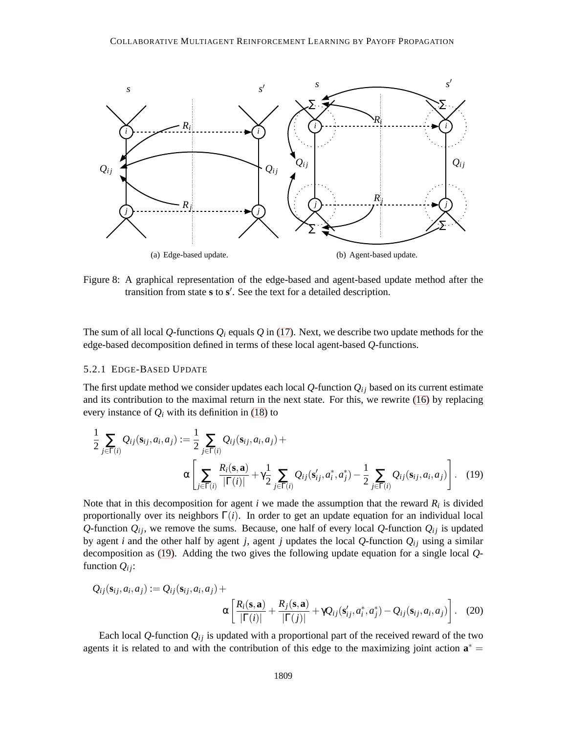<span id="page-20-2"></span>

<span id="page-20-3"></span>Figure 8: A graphical representation of the edge-based and agent-based update method after the transition from state **s** to **s** ′ . See the text for a detailed description.

The sum of all local Q-functions  $Q_i$  equals  $Q$  in [\(17\)](#page-19-0). Next, we describe two update methods for the edge-based decomposition defined in terms of these local agent-based *Q*-functions.

#### 5.2.1 EDGE-BASED UPDATE

The first update method we consider updates each local  $Q$ -function  $Q_{ij}$  based on its current estimate and its contribution to the maximal return in the next state. For this, we rewrite [\(16\)](#page-18-4) by replacing every instance of  $Q_i$  with its definition in [\(18\)](#page-19-1) to

<span id="page-20-0"></span>
$$
\frac{1}{2} \sum_{j \in \Gamma(i)} Q_{ij}(\mathbf{s}_{ij}, a_i, a_j) := \frac{1}{2} \sum_{j \in \Gamma(i)} Q_{ij}(\mathbf{s}_{ij}, a_i, a_j) + \alpha \left[ \sum_{j \in \Gamma(i)} \frac{R_i(\mathbf{s}, \mathbf{a})}{|\Gamma(i)|} + \gamma \frac{1}{2} \sum_{j \in \Gamma(i)} Q_{ij}(\mathbf{s}'_{ij}, a_i^*, a_j^*) - \frac{1}{2} \sum_{j \in \Gamma(i)} Q_{ij}(\mathbf{s}_{ij}, a_i, a_j) \right].
$$
 (19)

Note that in this decomposition for agent  $i$  we made the assumption that the reward  $R_i$  is divided proportionally over its neighbors  $\Gamma(i)$ . In order to get an update equation for an individual local *Q*-function  $Q_{ij}$ , we remove the sums. Because, one half of every local *Q*-function  $Q_{ij}$  is updated by agent *i* and the other half by agent *j*, agent *j* updates the local  $Q$ -function  $Q_{ij}$  using a similar decomposition as [\(19\)](#page-20-0). Adding the two gives the following update equation for a single local *Q*function  $Q_{ij}$ :

<span id="page-20-1"></span>
$$
Q_{ij}(\mathbf{s}_{ij}, a_i, a_j) := Q_{ij}(\mathbf{s}_{ij}, a_i, a_j) + \alpha \left[ \frac{R_i(\mathbf{s}, \mathbf{a})}{|\Gamma(i)|} + \frac{R_j(\mathbf{s}, \mathbf{a})}{|\Gamma(j)|} + \gamma Q_{ij}(\mathbf{s}'_{ij}, a_i^*, a_j^*) - Q_{ij}(\mathbf{s}_{ij}, a_i, a_j) \right].
$$
 (20)

Each local Q-function  $Q_{ij}$  is updated with a proportional part of the received reward of the two agents it is related to and with the contribution of this edge to the maximizing joint action  $\mathbf{a}^* =$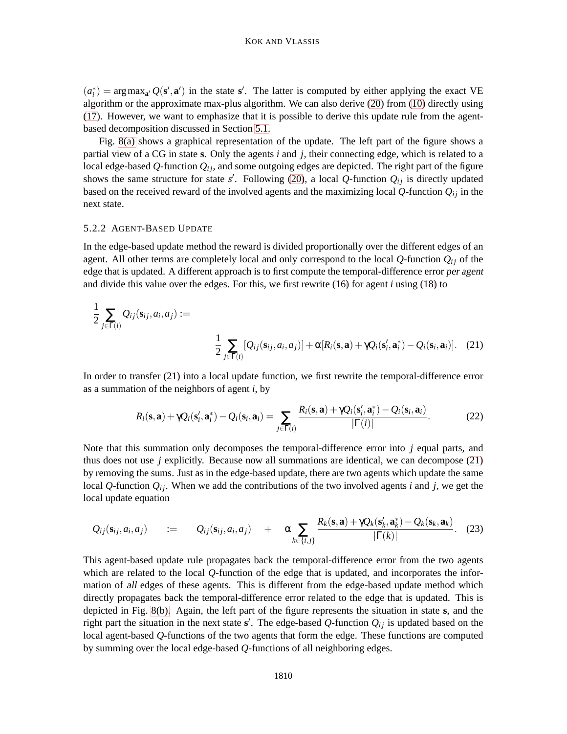$(a_i^*)$  = argmax<sub>a</sub><sup>*'*</sup>  $Q(s', a')$  in the state s'. The latter is computed by either applying the exact VE algorithm or the approximate max-plus algorithm. We can also derive [\(20\)](#page-20-1) from [\(10\)](#page-15-0) directly using [\(17\)](#page-19-0). However, we want to emphasize that it is possible to derive this update rule from the agentbased decomposition discussed in Section [5.1.](#page-18-2)

Fig. [8\(a\)](#page-20-2) shows a graphical representation of the update. The left part of the figure shows a partial view of a CG in state **s**. Only the agents *i* and *j*, their connecting edge, which is related to a local edge-based  $Q$ -function  $Q_{ij}$ , and some outgoing edges are depicted. The right part of the figure shows the same structure for state  $s'$ . Following [\(20\)](#page-20-1), a local Q-function  $Q_{ij}$  is directly updated based on the received reward of the involved agents and the maximizing local  $Q$ -function  $Q_{ij}$  in the next state.

#### 5.2.2 AGENT-BASED UPDATE

In the edge-based update method the reward is divided proportionally over the different edges of an agent. All other terms are completely local and only correspond to the local  $Q$ -function  $Q_{ij}$  of the edge that is updated. A different approach is to first compute the temporal-difference error per agent and divide this value over the edges. For this, we first rewrite [\(16\)](#page-18-4) for agent *i* using [\(18\)](#page-19-1) to

$$
\frac{1}{2} \sum_{j \in \Gamma(i)} Q_{ij}(\mathbf{s}_{ij}, a_i, a_j) :=
$$
\n
$$
\frac{1}{2} \sum_{j \in \Gamma(i)} [Q_{ij}(\mathbf{s}_{ij}, a_i, a_j)] + \alpha [R_i(\mathbf{s}, \mathbf{a}) + \gamma Q_i(\mathbf{s}'_i, \mathbf{a}^*_i) - Q_i(\mathbf{s}_i, \mathbf{a}_i)].
$$
\n(21)

In order to transfer [\(21\)](#page-21-0) into a local update function, we first rewrite the temporal-difference error as a summation of the neighbors of agent *i*, by

<span id="page-21-1"></span><span id="page-21-0"></span>
$$
R_i(\mathbf{s}, \mathbf{a}) + \gamma Q_i(\mathbf{s}'_i, \mathbf{a}^*_i) - Q_i(\mathbf{s}_i, \mathbf{a}_i) = \sum_{j \in \Gamma(i)} \frac{R_i(\mathbf{s}, \mathbf{a}) + \gamma Q_i(\mathbf{s}'_i, \mathbf{a}^*_i) - Q_i(\mathbf{s}_i, \mathbf{a}_i)}{|\Gamma(i)|}.
$$
(22)

Note that this summation only decomposes the temporal-difference error into *j* equal parts, and thus does not use  $j$  explicitly. Because now all summations are identical, we can decompose  $(21)$ by removing the sums. Just as in the edge-based update, there are two agents which update the same local Q-function  $Q_{ij}$ . When we add the contributions of the two involved agents *i* and *j*, we get the local update equation

$$
Q_{ij}(\mathbf{s}_{ij},a_i,a_j) \quad := \quad Q_{ij}(\mathbf{s}_{ij},a_i,a_j) \quad + \quad \alpha \sum_{k \in \{i,j\}} \frac{R_k(\mathbf{s},\mathbf{a}) + \gamma Q_k(\mathbf{s}'_k,\mathbf{a}^*_k) - Q_k(\mathbf{s}_k,\mathbf{a}_k)}{|\Gamma(k)|}. \quad (23)
$$

This agent-based update rule propagates back the temporal-difference error from the two agents which are related to the local *Q*-function of the edge that is updated, and incorporates the information of all edges of these agents. This is different from the edge-based update method which directly propagates back the temporal-difference error related to the edge that is updated. This is depicted in Fig. [8\(b\).](#page-20-3) Again, the left part of the figure represents the situation in state **s**, and the right part the situation in the next state  $s'$ . The edge-based Q-function  $Q_{ij}$  is updated based on the local agent-based *Q*-functions of the two agents that form the edge. These functions are computed by summing over the local edge-based *Q*-functions of all neighboring edges.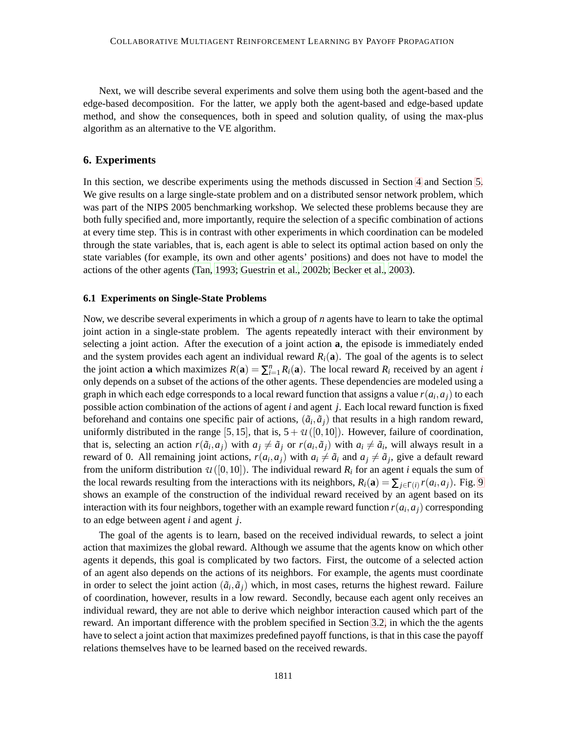Next, we will describe several experiments and solve them using both the agent-based and the edge-based decomposition. For the latter, we apply both the agent-based and edge-based update method, and show the consequences, both in speed and solution quality, of using the max-plus algorithm as an alternative to the VE algorithm.

## <span id="page-22-0"></span>**6. Experiments**

In this section, we describe experiments using the methods discussed in Section [4](#page-12-0) and Section [5.](#page-17-0) We give results on a large single-state problem and on a distributed sensor network problem, which was part of the NIPS 2005 benchmarking workshop. We selected these problems because they are both fully specified and, more importantly, require the selection of a specific combination of actions at every time step. This is in contrast with other experiments in which coordination can be modeled through the state variables, that is, each agent is able to select its optimal action based on only the state variables (for example, its own and other agents' positions) and does not have to model the actions of the other agents [\(Tan, 1993](#page-38-3); [Guestrin et al., 2002b](#page-36-14); [Becker et al., 2003\)](#page-35-0).

#### <span id="page-22-1"></span>**6.1 Experiments on Single-State Problems**

Now, we describe several experiments in which a group of *n* agents have to learn to take the optimal joint action in a single-state problem. The agents repeatedly interact with their environment by selecting a joint action. After the execution of a joint action **a**, the episode is immediately ended and the system provides each agent an individual reward  $R_i(\mathbf{a})$ . The goal of the agents is to select the joint action **a** which maximizes  $R(\mathbf{a}) = \sum_{i=1}^{n} R_i(\mathbf{a})$ . The local reward  $R_i$  received by an agent *i* only depends on a subset of the actions of the other agents. These dependencies are modeled using a graph in which each edge corresponds to a local reward function that assigns a value  $r(a_i, a_j)$  to each possible action combination of the actions of agent *i* and agent *j*. Each local reward function is fixed beforehand and contains one specific pair of actions,  $(\tilde{a}_i, \tilde{a}_j)$  that results in a high random reward, uniformly distributed in the range [5,15], that is,  $5+U([0,10])$ . However, failure of coordination, that is, selecting an action  $r(\tilde{a}_i, a_j)$  with  $a_j \neq \tilde{a}_j$  or  $r(a_i, \tilde{a}_j)$  with  $a_i \neq \tilde{a}_i$ , will always result in a reward of 0. All remaining joint actions,  $r(a_i, a_j)$  with  $a_i \neq \tilde{a}_i$  and  $a_j \neq \tilde{a}_j$ , give a default reward from the uniform distribution  $U([0,10])$ . The individual reward  $R_i$  for an agent *i* equals the sum of the local rewards resulting from the interactions with its neighbors,  $R_i(\mathbf{a}) = \sum_{j \in \Gamma(i)} r(a_i, a_j)$ . Fig. [9](#page-23-0) shows an example of the construction of the individual reward received by an agent based on its interaction with its four neighbors, together with an example reward function  $r(a_i,a_j)$  corresponding to an edge between agent *i* and agent *j*.

The goal of the agents is to learn, based on the received individual rewards, to select a joint action that maximizes the global reward. Although we assume that the agents know on which other agents it depends, this goal is complicated by two factors. First, the outcome of a selected action of an agent also depends on the actions of its neighbors. For example, the agents must coordinate in order to select the joint action  $(\tilde{a}_i, \tilde{a}_j)$  which, in most cases, returns the highest reward. Failure of coordination, however, results in a low reward. Secondly, because each agent only receives an individual reward, they are not able to derive which neighbor interaction caused which part of the reward. An important difference with the problem specified in Section [3.2,](#page-9-1) in which the the agents have to select a joint action that maximizes predefined payoff functions, is that in this case the payoff relations themselves have to be learned based on the received rewards.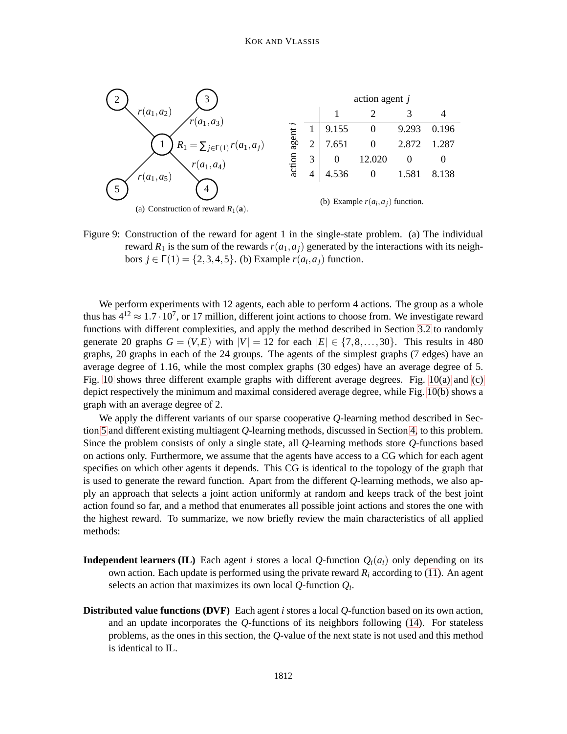

<span id="page-23-0"></span>Figure 9: Construction of the reward for agent 1 in the single-state problem. (a) The individual reward  $R_1$  is the sum of the rewards  $r(a_1, a_i)$  generated by the interactions with its neighbors  $j \in \Gamma(1) = \{2, 3, 4, 5\}$ . (b) Example  $r(a_i, a_j)$  function.

We perform experiments with 12 agents, each able to perform 4 actions. The group as a whole thus has  $4^{12} \approx 1.7 \cdot 10^7$ , or 17 million, different joint actions to choose from. We investigate reward functions with different complexities, and apply the method described in Section [3.2](#page-9-1) to randomly generate 20 graphs  $G = (V, E)$  with  $|V| = 12$  for each  $|E| \in \{7, 8, \ldots, 30\}$ . This results in 480 graphs, 20 graphs in each of the 24 groups. The agents of the simplest graphs (7 edges) have an average degree of 1.16, while the most complex graphs (30 edges) have an average degree of 5. Fig. [10](#page-24-0) shows three different example graphs with different average degrees. Fig. [10\(a\)](#page-24-1) and [\(c\)](#page-24-2) depict respectively the minimum and maximal considered average degree, while Fig. [10\(b\)](#page-24-3) shows a graph with an average degree of 2.

We apply the different variants of our sparse cooperative *Q*-learning method described in Section [5](#page-17-0) and different existing multiagent *Q*-learning methods, discussed in Section [4,](#page-12-0) to this problem. Since the problem consists of only a single state, all *Q*-learning methods store *Q*-functions based on actions only. Furthermore, we assume that the agents have access to a CG which for each agent specifies on which other agents it depends. This CG is identical to the topology of the graph that is used to generate the reward function. Apart from the different *Q*-learning methods, we also apply an approach that selects a joint action uniformly at random and keeps track of the best joint action found so far, and a method that enumerates all possible joint actions and stores the one with the highest reward. To summarize, we now briefly review the main characteristics of all applied methods:

- **Independent learners (IL)** Each agent *i* stores a local *Q*-function  $Q_i(a_i)$  only depending on its own action. Each update is performed using the private reward  $R_i$  according to [\(11\)](#page-16-1). An agent selects an action that maximizes its own local *Q*-function *Q<sup>i</sup>* .
- **Distributed value functions (DVF)** Each agent *i* stores a local *Q*-function based on its own action, and an update incorporates the *Q*-functions of its neighbors following [\(14\)](#page-17-1). For stateless problems, as the ones in this section, the *Q*-value of the next state is not used and this method is identical to IL.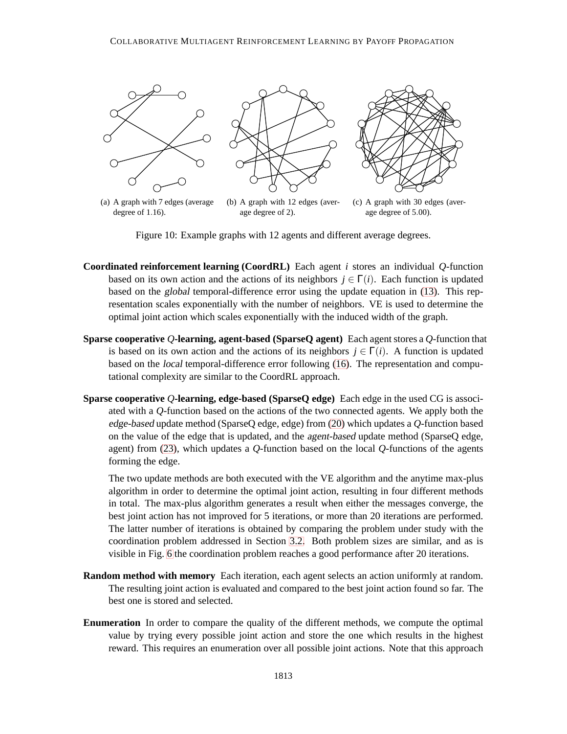<span id="page-24-1"></span>

degree of 1.16).

<span id="page-24-2"></span>age degree of 2).

(c) A graph with 30 edges (average degree of 5.00).

<span id="page-24-3"></span><span id="page-24-0"></span>Figure 10: Example graphs with 12 agents and different average degrees.

- **Coordinated reinforcement learning (CoordRL)** Each agent *i* stores an individual *Q*-function based on its own action and the actions of its neighbors  $j \in \Gamma(i)$ . Each function is updated based on the global temporal-difference error using the update equation in [\(13\)](#page-16-0). This representation scales exponentially with the number of neighbors. VE is used to determine the optimal joint action which scales exponentially with the induced width of the graph.
- **Sparse cooperative** *Q***-learning, agent-based (SparseQ agent)** Each agent stores a *Q*-function that is based on its own action and the actions of its neighbors  $j \in \Gamma(i)$ . A function is updated based on the local temporal-difference error following [\(16\)](#page-18-4). The representation and computational complexity are similar to the CoordRL approach.
- **Sparse cooperative** *Q***-learning, edge-based (SparseQ edge)** Each edge in the used CG is associated with a *Q*-function based on the actions of the two connected agents. We apply both the edge-based update method (SparseQ edge, edge) from [\(20\)](#page-20-1) which updates a *Q*-function based on the value of the edge that is updated, and the agent-based update method (SparseQ edge, agent) from [\(23\)](#page-21-1), which updates a *Q*-function based on the local *Q*-functions of the agents forming the edge.

The two update methods are both executed with the VE algorithm and the anytime max-plus algorithm in order to determine the optimal joint action, resulting in four different methods in total. The max-plus algorithm generates a result when either the messages converge, the best joint action has not improved for 5 iterations, or more than 20 iterations are performed. The latter number of iterations is obtained by comparing the problem under study with the coordination problem addressed in Section [3.2.](#page-9-1) Both problem sizes are similar, and as is visible in Fig. [6](#page-13-0) the coordination problem reaches a good performance after 20 iterations.

- **Random method with memory** Each iteration, each agent selects an action uniformly at random. The resulting joint action is evaluated and compared to the best joint action found so far. The best one is stored and selected.
- **Enumeration** In order to compare the quality of the different methods, we compute the optimal value by trying every possible joint action and store the one which results in the highest reward. This requires an enumeration over all possible joint actions. Note that this approach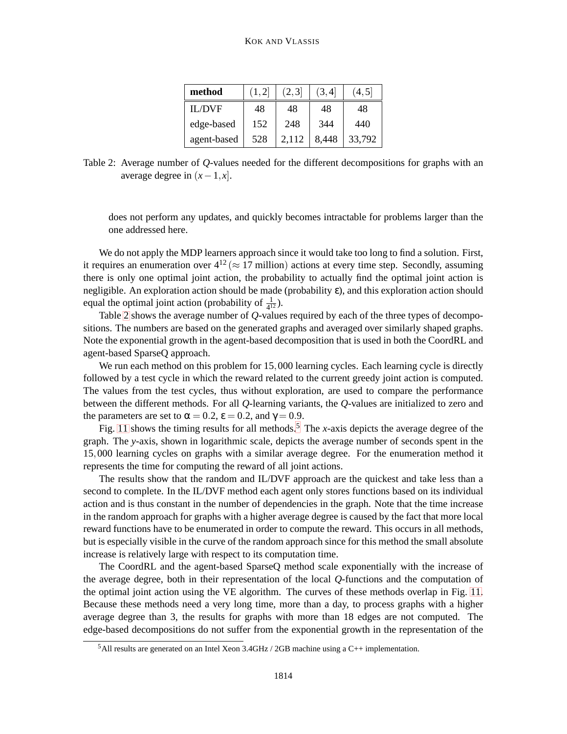| method        | (1, 2) | [2,3] | (3,4] | 4,5    |
|---------------|--------|-------|-------|--------|
| <b>IL/DVF</b> | 48     | 48    | 48    | 48     |
| edge-based    | 152    | 248   | 344   | 440    |
| agent-based   | 528    | 2,112 | 8.448 | 33.792 |

<span id="page-25-0"></span>Table 2: Average number of *Q*-values needed for the different decompositions for graphs with an average degree in  $(x-1, x]$ .

does not perform any updates, and quickly becomes intractable for problems larger than the one addressed here.

We do not apply the MDP learners approach since it would take too long to find a solution. First, it requires an enumeration over  $4^{12} \approx 17$  million) actions at every time step. Secondly, assuming there is only one optimal joint action, the probability to actually find the optimal joint action is negligible. An exploration action should be made (probability ε), and this exploration action should equal the optimal joint action (probability of  $\frac{1}{4^{12}}$ ).

Table [2](#page-25-0) shows the average number of *Q*-values required by each of the three types of decompositions. The numbers are based on the generated graphs and averaged over similarly shaped graphs. Note the exponential growth in the agent-based decomposition that is used in both the CoordRL and agent-based SparseQ approach.

We run each method on this problem for 15,000 learning cycles. Each learning cycle is directly followed by a test cycle in which the reward related to the current greedy joint action is computed. The values from the test cycles, thus without exploration, are used to compare the performance between the different methods. For all *Q*-learning variants, the *Q*-values are initialized to zero and the parameters are set to  $\alpha = 0.2$ ,  $\varepsilon = 0.2$ , and  $\gamma = 0.9$ .

Fig. [11](#page-26-0) shows the timing results for all methods.<sup>5</sup> The *x*-axis depicts the average degree of the graph. The *y*-axis, shown in logarithmic scale, depicts the average number of seconds spent in the 15,000 learning cycles on graphs with a similar average degree. For the enumeration method it represents the time for computing the reward of all joint actions.

The results show that the random and IL/DVF approach are the quickest and take less than a second to complete. In the IL/DVF method each agent only stores functions based on its individual action and is thus constant in the number of dependencies in the graph. Note that the time increase in the random approach for graphs with a higher average degree is caused by the fact that more local reward functions have to be enumerated in order to compute the reward. This occurs in all methods, but is especially visible in the curve of the random approach since for this method the small absolute increase is relatively large with respect to its computation time.

The CoordRL and the agent-based SparseQ method scale exponentially with the increase of the average degree, both in their representation of the local *Q*-functions and the computation of the optimal joint action using the VE algorithm. The curves of these methods overlap in Fig. [11.](#page-26-0) Because these methods need a very long time, more than a day, to process graphs with a higher average degree than 3, the results for graphs with more than 18 edges are not computed. The edge-based decompositions do not suffer from the exponential growth in the representation of the

 $5$ All results are generated on an Intel Xeon 3.4GHz / 2GB machine using a C++ implementation.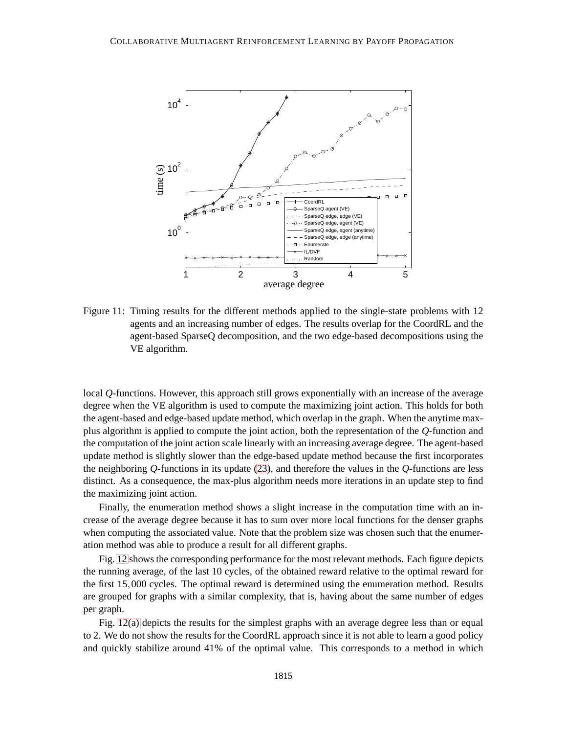

<span id="page-26-0"></span>Figure 11: Timing results for the different methods applied to the single-state problems with 12 agents and an increasing number of edges. The results overlap for the CoordRL and the agent-based SparseQ decomposition, and the two edge-based decompositions using the VE algorithm.

local *Q*-functions. However, this approach still grows exponentially with an increase of the average degree when the VE algorithm is used to compute the maximizing joint action. This holds for both the agent-based and edge-based update method, which overlap in the graph. When the anytime maxplus algorithm is applied to compute the joint action, both the representation of the *Q*-function and the computation of the joint action scale linearly with an increasing average degree. The agent-based update method is slightly slower than the edge-based update method because the first incorporates the neighboring *Q*-functions in its update [\(23\)](#page-21-1), and therefore the values in the *Q*-functions are less distinct. As a consequence, the max-plus algorithm needs more iterations in an update step to find the maximizing joint action.

Finally, the enumeration method shows a slight increase in the computation time with an increase of the average degree because it has to sum over more local functions for the denser graphs when computing the associated value. Note that the problem size was chosen such that the enumeration method was able to produce a result for all different graphs.

Fig. [12](#page-27-0) shows the corresponding performance for the most relevant methods. Each figure depicts the running average, of the last 10 cycles, of the obtained reward relative to the optimal reward for the first 15,000 cycles. The optimal reward is determined using the enumeration method. Results are grouped for graphs with a similar complexity, that is, having about the same number of edges per graph.

Fig. [12\(a\)](#page-27-1) depicts the results for the simplest graphs with an average degree less than or equal to 2. We do not show the results for the CoordRL approach since it is not able to learn a good policy and quickly stabilize around 41% of the optimal value. This corresponds to a method in which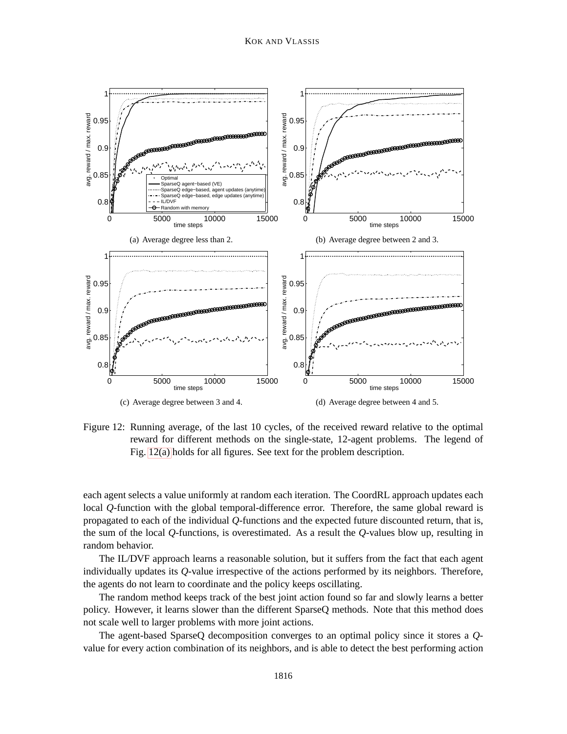<span id="page-27-2"></span><span id="page-27-1"></span>

<span id="page-27-4"></span><span id="page-27-3"></span><span id="page-27-0"></span>Figure 12: Running average, of the last 10 cycles, of the received reward relative to the optimal reward for different methods on the single-state, 12-agent problems. The legend of Fig. [12\(a\)](#page-27-1) holds for all figures. See text for the problem description.

each agent selects a value uniformly at random each iteration. The CoordRL approach updates each local *Q*-function with the global temporal-difference error. Therefore, the same global reward is propagated to each of the individual *Q*-functions and the expected future discounted return, that is, the sum of the local *Q*-functions, is overestimated. As a result the *Q*-values blow up, resulting in random behavior.

The IL/DVF approach learns a reasonable solution, but it suffers from the fact that each agent individually updates its *Q*-value irrespective of the actions performed by its neighbors. Therefore, the agents do not learn to coordinate and the policy keeps oscillating.

The random method keeps track of the best joint action found so far and slowly learns a better policy. However, it learns slower than the different SparseQ methods. Note that this method does not scale well to larger problems with more joint actions.

The agent-based SparseQ decomposition converges to an optimal policy since it stores a *Q*value for every action combination of its neighbors, and is able to detect the best performing action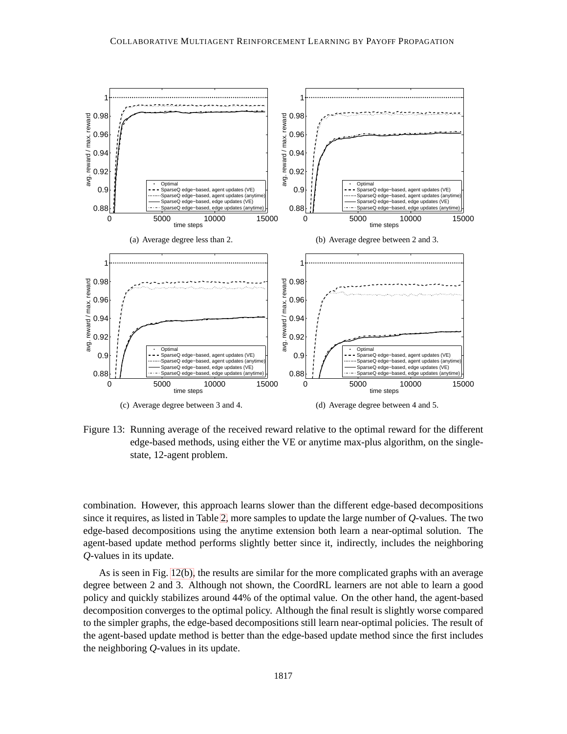<span id="page-28-2"></span><span id="page-28-1"></span>

<span id="page-28-4"></span><span id="page-28-3"></span><span id="page-28-0"></span>Figure 13: Running average of the received reward relative to the optimal reward for the different edge-based methods, using either the VE or anytime max-plus algorithm, on the singlestate, 12-agent problem.

combination. However, this approach learns slower than the different edge-based decompositions since it requires, as listed in Table [2,](#page-25-0) more samples to update the large number of *Q*-values. The two edge-based decompositions using the anytime extension both learn a near-optimal solution. The agent-based update method performs slightly better since it, indirectly, includes the neighboring *Q*-values in its update.

As is seen in Fig. [12\(b\),](#page-27-2) the results are similar for the more complicated graphs with an average degree between 2 and 3. Although not shown, the CoordRL learners are not able to learn a good policy and quickly stabilizes around 44% of the optimal value. On the other hand, the agent-based decomposition converges to the optimal policy. Although the final result is slightly worse compared to the simpler graphs, the edge-based decompositions still learn near-optimal policies. The result of the agent-based update method is better than the edge-based update method since the first includes the neighboring *Q*-values in its update.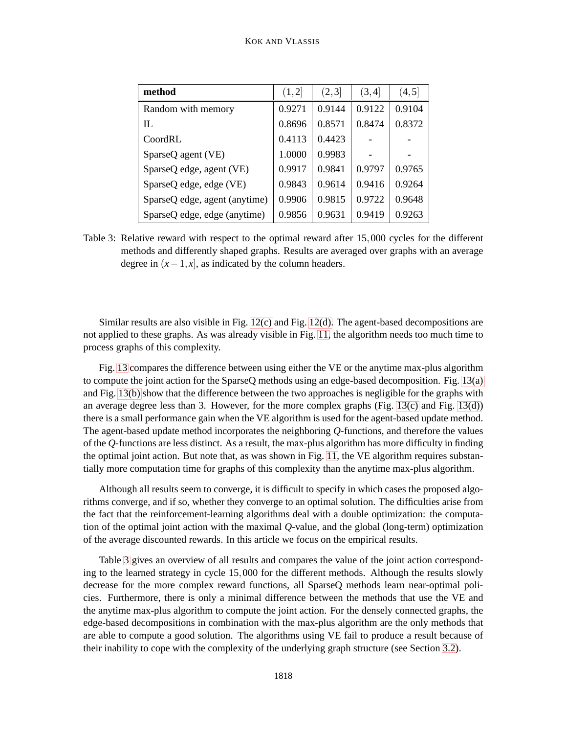| method                        | (1,2]  | (2,3]  | (3,4]  | (4, 5) |
|-------------------------------|--------|--------|--------|--------|
| Random with memory            | 0.9271 | 0.9144 | 0.9122 | 0.9104 |
| IL                            | 0.8696 | 0.8571 | 0.8474 | 0.8372 |
| CondRI.                       | 0.4113 | 0.4423 |        |        |
| SparseQ agent (VE)            | 1.0000 | 0.9983 |        |        |
| SparseQ edge, agent (VE)      | 0.9917 | 0.9841 | 0.9797 | 0.9765 |
| SparseQ edge, edge (VE)       | 0.9843 | 0.9614 | 0.9416 | 0.9264 |
| SparseQ edge, agent (anytime) | 0.9906 | 0.9815 | 0.9722 | 0.9648 |
| SparseQ edge, edge (anytime)  | 0.9856 | 0.9631 | 0.9419 | 0.9263 |

<span id="page-29-0"></span>Table 3: Relative reward with respect to the optimal reward after 15,000 cycles for the different methods and differently shaped graphs. Results are averaged over graphs with an average degree in  $(x-1, x]$ , as indicated by the column headers.

Similar results are also visible in Fig. [12\(c\)](#page-27-3) and Fig. [12\(d\).](#page-27-4) The agent-based decompositions are not applied to these graphs. As was already visible in Fig. [11,](#page-26-0) the algorithm needs too much time to process graphs of this complexity.

Fig. [13](#page-28-0) compares the difference between using either the VE or the anytime max-plus algorithm to compute the joint action for the SparseQ methods using an edge-based decomposition. Fig. [13\(a\)](#page-28-1) and Fig. [13\(b\)](#page-28-2) show that the difference between the two approaches is negligible for the graphs with an average degree less than 3. However, for the more complex graphs (Fig. [13\(c\)](#page-28-3) and Fig. [13\(d\)\)](#page-28-4) there is a small performance gain when the VE algorithm is used for the agent-based update method. The agent-based update method incorporates the neighboring *Q*-functions, and therefore the values of the *Q*-functions are less distinct. As a result, the max-plus algorithm has more difficulty in finding the optimal joint action. But note that, as was shown in Fig. [11,](#page-26-0) the VE algorithm requires substantially more computation time for graphs of this complexity than the anytime max-plus algorithm.

Although all results seem to converge, it is difficult to specify in which cases the proposed algorithms converge, and if so, whether they converge to an optimal solution. The difficulties arise from the fact that the reinforcement-learning algorithms deal with a double optimization: the computation of the optimal joint action with the maximal *Q*-value, and the global (long-term) optimization of the average discounted rewards. In this article we focus on the empirical results.

Table [3](#page-29-0) gives an overview of all results and compares the value of the joint action corresponding to the learned strategy in cycle 15,000 for the different methods. Although the results slowly decrease for the more complex reward functions, all SparseQ methods learn near-optimal policies. Furthermore, there is only a minimal difference between the methods that use the VE and the anytime max-plus algorithm to compute the joint action. For the densely connected graphs, the edge-based decompositions in combination with the max-plus algorithm are the only methods that are able to compute a good solution. The algorithms using VE fail to produce a result because of their inability to cope with the complexity of the underlying graph structure (see Section [3.2\)](#page-9-1).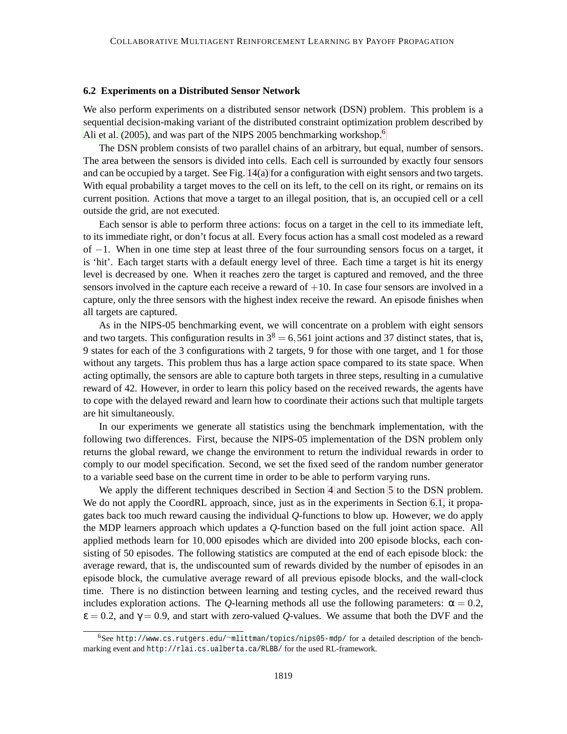#### **6.2 Experiments on a Distributed Sensor Network**

We also perform experiments on a distributed sensor network (DSN) problem. This problem is a sequential decision-making variant of the distributed constraint optimization problem described by [Ali et al. \(2005](#page-35-5)), and was part of the NIPS 2005 benchmarking workshop.<sup>6</sup>

The DSN problem consists of two parallel chains of an arbitrary, but equal, number of sensors. The area between the sensors is divided into cells. Each cell is surrounded by exactly four sensors and can be occupied by a target. See Fig. [14\(a\)](#page-31-0) for a configuration with eight sensors and two targets. With equal probability a target moves to the cell on its left, to the cell on its right, or remains on its current position. Actions that move a target to an illegal position, that is, an occupied cell or a cell outside the grid, are not executed.

Each sensor is able to perform three actions: focus on a target in the cell to its immediate left, to its immediate right, or don't focus at all. Every focus action has a small cost modeled as a reward of −1. When in one time step at least three of the four surrounding sensors focus on a target, it is 'hit'. Each target starts with a default energy level of three. Each time a target is hit its energy level is decreased by one. When it reaches zero the target is captured and removed, and the three sensors involved in the capture each receive a reward of  $+10$ . In case four sensors are involved in a capture, only the three sensors with the highest index receive the reward. An episode finishes when all targets are captured.

As in the NIPS-05 benchmarking event, we will concentrate on a problem with eight sensors and two targets. This configuration results in  $3^8 = 6,561$  joint actions and 37 distinct states, that is, 9 states for each of the 3 configurations with 2 targets, 9 for those with one target, and 1 for those without any targets. This problem thus has a large action space compared to its state space. When acting optimally, the sensors are able to capture both targets in three steps, resulting in a cumulative reward of 42. However, in order to learn this policy based on the received rewards, the agents have to cope with the delayed reward and learn how to coordinate their actions such that multiple targets are hit simultaneously.

In our experiments we generate all statistics using the benchmark implementation, with the following two differences. First, because the NIPS-05 implementation of the DSN problem only returns the global reward, we change the environment to return the individual rewards in order to comply to our model specification. Second, we set the fixed seed of the random number generator to a variable seed base on the current time in order to be able to perform varying runs.

We apply the different techniques described in Section [4](#page-12-0) and Section [5](#page-17-0) to the DSN problem. We do not apply the CoordRL approach, since, just as in the experiments in Section [6.1,](#page-22-1) it propagates back too much reward causing the individual *Q*-functions to blow up. However, we do apply the MDP learners approach which updates a *Q*-function based on the full joint action space. All applied methods learn for 10,000 episodes which are divided into 200 episode blocks, each consisting of 50 episodes. The following statistics are computed at the end of each episode block: the average reward, that is, the undiscounted sum of rewards divided by the number of episodes in an episode block, the cumulative average reward of all previous episode blocks, and the wall-clock time. There is no distinction between learning and testing cycles, and the received reward thus includes exploration actions. The *Q*-learning methods all use the following parameters:  $\alpha = 0.2$ ,  $\varepsilon = 0.2$ , and  $\gamma = 0.9$ , and start with zero-valued *Q*-values. We assume that both the DVF and the

<sup>6</sup>See http://www.cs.rutgers.edu/∼[mlittman/topics/nips05-mdp/](http://www.cs.rutgers.edu/~mlittman/topics/nips05-mdp/) for a detailed description of the benchmarking event and <http://rlai.cs.ualberta.ca/RLBB/> for the used RL-framework.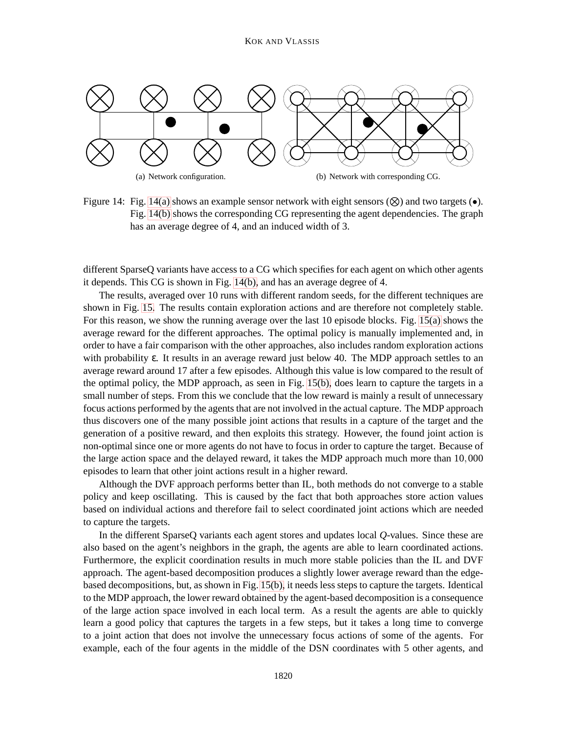<span id="page-31-0"></span>

<span id="page-31-1"></span>Figure 14: Fig. [14\(a\)](#page-31-0) shows an example sensor network with eight sensors  $(\otimes)$  and two targets  $(\bullet)$ . Fig. [14\(b\)](#page-31-1) shows the corresponding CG representing the agent dependencies. The graph has an average degree of 4, and an induced width of 3.

different SparseQ variants have access to a CG which specifies for each agent on which other agents it depends. This CG is shown in Fig. [14\(b\),](#page-31-1) and has an average degree of 4.

The results, averaged over 10 runs with different random seeds, for the different techniques are shown in Fig. [15.](#page-32-0) The results contain exploration actions and are therefore not completely stable. For this reason, we show the running average over the last 10 episode blocks. Fig. [15\(a\)](#page-32-1) shows the average reward for the different approaches. The optimal policy is manually implemented and, in order to have a fair comparison with the other approaches, also includes random exploration actions with probability ε. It results in an average reward just below 40. The MDP approach settles to an average reward around 17 after a few episodes. Although this value is low compared to the result of the optimal policy, the MDP approach, as seen in Fig. [15\(b\),](#page-32-2) does learn to capture the targets in a small number of steps. From this we conclude that the low reward is mainly a result of unnecessary focus actions performed by the agents that are not involved in the actual capture. The MDP approach thus discovers one of the many possible joint actions that results in a capture of the target and the generation of a positive reward, and then exploits this strategy. However, the found joint action is non-optimal since one or more agents do not have to focus in order to capture the target. Because of the large action space and the delayed reward, it takes the MDP approach much more than 10,000 episodes to learn that other joint actions result in a higher reward.

Although the DVF approach performs better than IL, both methods do not converge to a stable policy and keep oscillating. This is caused by the fact that both approaches store action values based on individual actions and therefore fail to select coordinated joint actions which are needed to capture the targets.

In the different SparseQ variants each agent stores and updates local *Q*-values. Since these are also based on the agent's neighbors in the graph, the agents are able to learn coordinated actions. Furthermore, the explicit coordination results in much more stable policies than the IL and DVF approach. The agent-based decomposition produces a slightly lower average reward than the edgebased decompositions, but, as shown in Fig. [15\(b\),](#page-32-2) it needs less steps to capture the targets. Identical to the MDP approach, the lower reward obtained by the agent-based decomposition is a consequence of the large action space involved in each local term. As a result the agents are able to quickly learn a good policy that captures the targets in a few steps, but it takes a long time to converge to a joint action that does not involve the unnecessary focus actions of some of the agents. For example, each of the four agents in the middle of the DSN coordinates with 5 other agents, and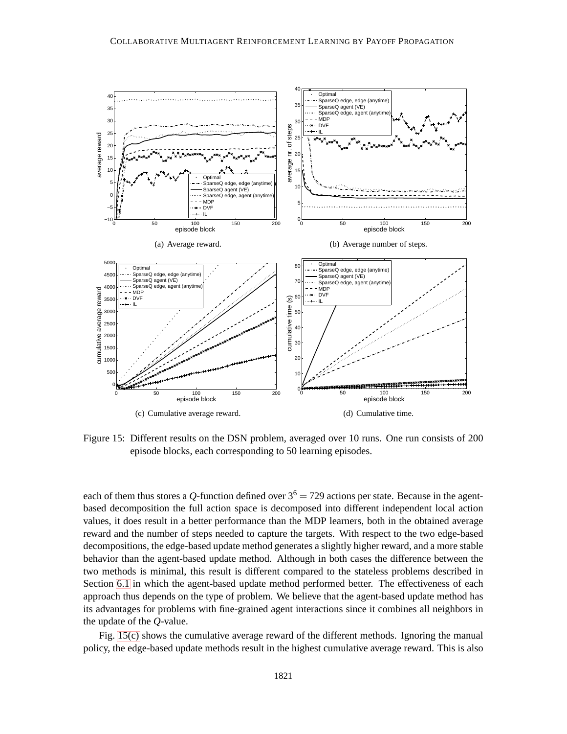<span id="page-32-3"></span><span id="page-32-2"></span><span id="page-32-1"></span>

<span id="page-32-4"></span><span id="page-32-0"></span>Figure 15: Different results on the DSN problem, averaged over 10 runs. One run consists of 200 episode blocks, each corresponding to 50 learning episodes.

each of them thus stores a *Q*-function defined over  $3^6 = 729$  actions per state. Because in the agentbased decomposition the full action space is decomposed into different independent local action values, it does result in a better performance than the MDP learners, both in the obtained average reward and the number of steps needed to capture the targets. With respect to the two edge-based decompositions, the edge-based update method generates a slightly higher reward, and a more stable behavior than the agent-based update method. Although in both cases the difference between the two methods is minimal, this result is different compared to the stateless problems described in Section [6.1](#page-22-1) in which the agent-based update method performed better. The effectiveness of each approach thus depends on the type of problem. We believe that the agent-based update method has its advantages for problems with fine-grained agent interactions since it combines all neighbors in the update of the *Q*-value.

Fig. [15\(c\)](#page-32-3) shows the cumulative average reward of the different methods. Ignoring the manual policy, the edge-based update methods result in the highest cumulative average reward. This is also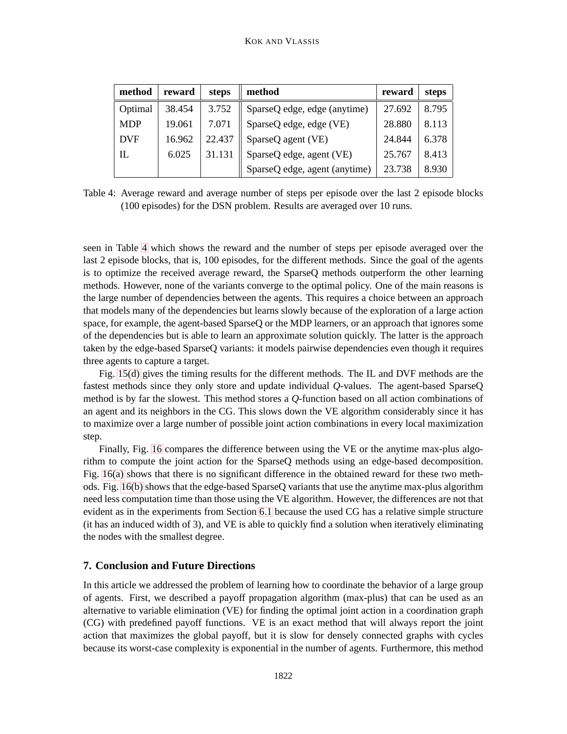| method     | reward | steps  | method                        | reward | steps |
|------------|--------|--------|-------------------------------|--------|-------|
| Optimal    | 38.454 | 3.752  | SparseQ edge, edge (anytime)  | 27.692 | 8.795 |
| <b>MDP</b> | 19.061 | 7.071  | SparseQ edge, edge (VE)       | 28.880 | 8.113 |
| <b>DVF</b> | 16.962 | 22.437 | SparseQ agent (VE)            | 24.844 | 6.378 |
| IL         | 6.025  | 31.131 | SparseQ edge, agent (VE)      | 25.767 | 8.413 |
|            |        |        | SparseQ edge, agent (anytime) | 23.738 | 8.930 |

<span id="page-33-1"></span>Table 4: Average reward and average number of steps per episode over the last 2 episode blocks (100 episodes) for the DSN problem. Results are averaged over 10 runs.

seen in Table [4](#page-33-1) which shows the reward and the number of steps per episode averaged over the last 2 episode blocks, that is, 100 episodes, for the different methods. Since the goal of the agents is to optimize the received average reward, the SparseQ methods outperform the other learning methods. However, none of the variants converge to the optimal policy. One of the main reasons is the large number of dependencies between the agents. This requires a choice between an approach that models many of the dependencies but learns slowly because of the exploration of a large action space, for example, the agent-based SparseQ or the MDP learners, or an approach that ignores some of the dependencies but is able to learn an approximate solution quickly. The latter is the approach taken by the edge-based SparseQ variants: it models pairwise dependencies even though it requires three agents to capture a target.

Fig. [15\(d\)](#page-32-4) gives the timing results for the different methods. The IL and DVF methods are the fastest methods since they only store and update individual *Q*-values. The agent-based SparseQ method is by far the slowest. This method stores a *Q*-function based on all action combinations of an agent and its neighbors in the CG. This slows down the VE algorithm considerably since it has to maximize over a large number of possible joint action combinations in every local maximization step.

Finally, Fig. [16](#page-34-0) compares the difference between using the VE or the anytime max-plus algorithm to compute the joint action for the SparseQ methods using an edge-based decomposition. Fig. [16\(a\)](#page-34-1) shows that there is no significant difference in the obtained reward for these two methods. Fig. [16\(b\)](#page-34-2) shows that the edge-based SparseQ variants that use the anytime max-plus algorithm need less computation time than those using the VE algorithm. However, the differences are not that evident as in the experiments from Section [6.1](#page-22-1) because the used CG has a relative simple structure (it has an induced width of 3), and VE is able to quickly find a solution when iteratively eliminating the nodes with the smallest degree.

# <span id="page-33-0"></span>**7. Conclusion and Future Directions**

In this article we addressed the problem of learning how to coordinate the behavior of a large group of agents. First, we described a payoff propagation algorithm (max-plus) that can be used as an alternative to variable elimination (VE) for finding the optimal joint action in a coordination graph (CG) with predefined payoff functions. VE is an exact method that will always report the joint action that maximizes the global payoff, but it is slow for densely connected graphs with cycles because its worst-case complexity is exponential in the number of agents. Furthermore, this method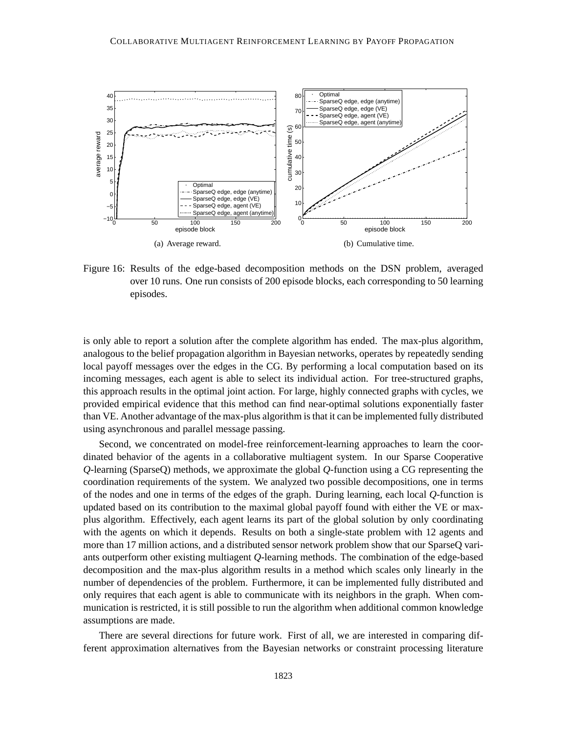<span id="page-34-1"></span>

<span id="page-34-2"></span><span id="page-34-0"></span>Figure 16: Results of the edge-based decomposition methods on the DSN problem, averaged over 10 runs. One run consists of 200 episode blocks, each corresponding to 50 learning episodes.

is only able to report a solution after the complete algorithm has ended. The max-plus algorithm, analogous to the belief propagation algorithm in Bayesian networks, operates by repeatedly sending local payoff messages over the edges in the CG. By performing a local computation based on its incoming messages, each agent is able to select its individual action. For tree-structured graphs, this approach results in the optimal joint action. For large, highly connected graphs with cycles, we provided empirical evidence that this method can find near-optimal solutions exponentially faster than VE. Another advantage of the max-plus algorithm is that it can be implemented fully distributed using asynchronous and parallel message passing.

Second, we concentrated on model-free reinforcement-learning approaches to learn the coordinated behavior of the agents in a collaborative multiagent system. In our Sparse Cooperative *Q*-learning (SparseQ) methods, we approximate the global *Q*-function using a CG representing the coordination requirements of the system. We analyzed two possible decompositions, one in terms of the nodes and one in terms of the edges of the graph. During learning, each local *Q*-function is updated based on its contribution to the maximal global payoff found with either the VE or maxplus algorithm. Effectively, each agent learns its part of the global solution by only coordinating with the agents on which it depends. Results on both a single-state problem with 12 agents and more than 17 million actions, and a distributed sensor network problem show that our SparseQ variants outperform other existing multiagent *Q*-learning methods. The combination of the edge-based decomposition and the max-plus algorithm results in a method which scales only linearly in the number of dependencies of the problem. Furthermore, it can be implemented fully distributed and only requires that each agent is able to communicate with its neighbors in the graph. When communication is restricted, it is still possible to run the algorithm when additional common knowledge assumptions are made.

There are several directions for future work. First of all, we are interested in comparing different approximation alternatives from the Bayesian networks or constraint processing literature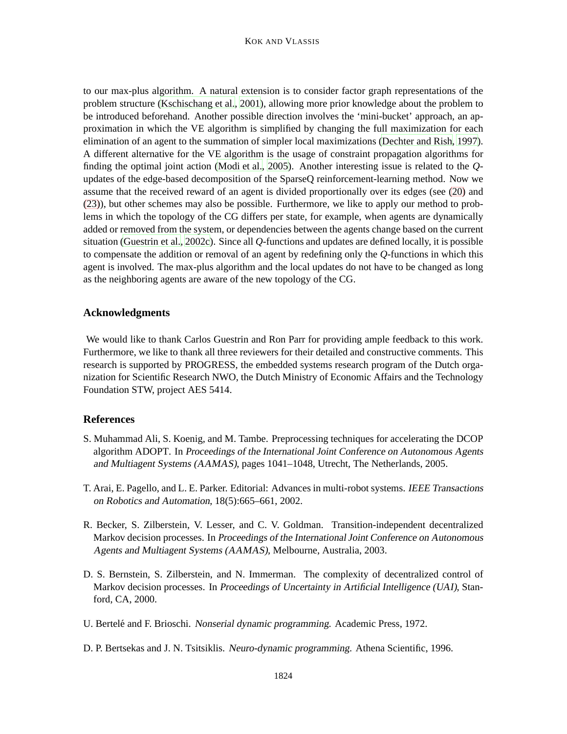to our max-plus algorithm. A natural extension is to consider factor graph representations of the problem structure [\(Kschischang et al., 2001](#page-37-11)), allowing more prior knowledge about the problem to be introduced beforehand. Another possible direction involves the 'mini-bucket' approach, an approximation in which the VE algorithm is simplified by changing the full maximization for each elimination of an agent to the summation of simpler local maximizations [\(Dechter and Rish](#page-36-15), [1997\)](#page-36-15). A different alternative for the VE algorithm is the usage of constraint propagation algorithms for finding the optimal joint action [\(Modi et al.](#page-37-2), [2005](#page-37-2)). Another interesting issue is related to the *Q*updates of the edge-based decomposition of the SparseQ reinforcement-learning method. Now we assume that the received reward of an agent is divided proportionally over its edges (see [\(20\)](#page-20-1) and [\(23\)](#page-21-1)), but other schemes may also be possible. Furthermore, we like to apply our method to problems in which the topology of the CG differs per state, for example, when agents are dynamically added or removed from the system, or dependencies between the agents change based on the current situation [\(Guestrin et al.](#page-37-15), [2002c\)](#page-37-15). Since all *Q*-functions and updates are defined locally, it is possible to compensate the addition or removal of an agent by redefining only the *Q*-functions in which this agent is involved. The max-plus algorithm and the local updates do not have to be changed as long as the neighboring agents are aware of the new topology of the CG.

## **Acknowledgments**

We would like to thank Carlos Guestrin and Ron Parr for providing ample feedback to this work. Furthermore, we like to thank all three reviewers for their detailed and constructive comments. This research is supported by PROGRESS, the embedded systems research program of the Dutch organization for Scientific Research NWO, the Dutch Ministry of Economic Affairs and the Technology Foundation STW, project AES 5414.

# **References**

- <span id="page-35-5"></span>S. Muhammad Ali, S. Koenig, and M. Tambe. Preprocessing techniques for accelerating the DCOP algorithm ADOPT. In Proceedings of the International Joint Conference on Autonomous Agents and Multiagent Systems (AAMAS), pages 1041–1048, Utrecht, The Netherlands, 2005.
- <span id="page-35-1"></span>T. Arai, E. Pagello, and L. E. Parker. Editorial: Advances in multi-robot systems. IEEE Transactions on Robotics and Automation, 18(5):665–661, 2002.
- <span id="page-35-0"></span>R. Becker, S. Zilberstein, V. Lesser, and C. V. Goldman. Transition-independent decentralized Markov decision processes. In Proceedings of the International Joint Conference on Autonomous Agents and Multiagent Systems (AAMAS), Melbourne, Australia, 2003.
- <span id="page-35-2"></span>D. S. Bernstein, S. Zilberstein, and N. Immerman. The complexity of decentralized control of Markov decision processes. In Proceedings of Uncertainty in Artificial Intelligence (UAI), Stanford, CA, 2000.
- <span id="page-35-3"></span>U. Bertelé and F. Brioschi. Nonserial dynamic programming. Academic Press, 1972.
- <span id="page-35-4"></span>D. P. Bertsekas and J. N. Tsitsiklis. Neuro-dynamic programming. Athena Scientific, 1996.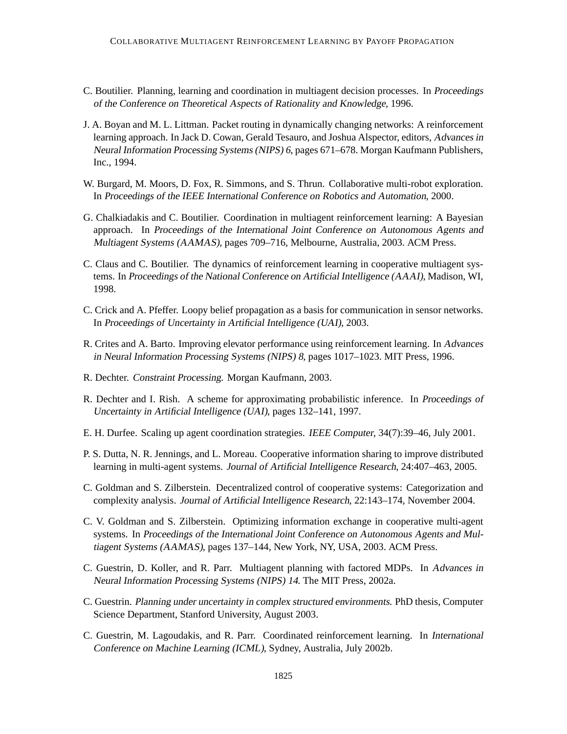- <span id="page-36-9"></span>C. Boutilier. Planning, learning and coordination in multiagent decision processes. In Proceedings of the Conference on Theoretical Aspects of Rationality and Knowledge, 1996.
- <span id="page-36-3"></span>J. A. Boyan and M. L. Littman. Packet routing in dynamically changing networks: A reinforcement learning approach. In Jack D. Cowan, Gerald Tesauro, and Joshua Alspector, editors, Advances in Neural Information Processing Systems (NIPS) <sup>6</sup>, pages 671–678. Morgan Kaufmann Publishers, Inc., 1994.
- <span id="page-36-4"></span>W. Burgard, M. Moors, D. Fox, R. Simmons, and S. Thrun. Collaborative multi-robot exploration. In Proceedings of the IEEE International Conference on Robotics and Automation, 2000.
- <span id="page-36-11"></span>G. Chalkiadakis and C. Boutilier. Coordination in multiagent reinforcement learning: A Bayesian approach. In Proceedings of the International Joint Conference on Autonomous Agents and Multiagent Systems (AAMAS), pages 709–716, Melbourne, Australia, 2003. ACM Press.
- <span id="page-36-13"></span>C. Claus and C. Boutilier. The dynamics of reinforcement learning in cooperative multiagent systems. In Proceedings of the National Conference on Artificial Intelligence (AAAI), Madison, WI, 1998.
- <span id="page-36-12"></span>C. Crick and A. Pfeffer. Loopy belief propagation as a basis for communication in sensor networks. In Proceedings of Uncertainty in Artificial Intelligence (UAI), 2003.
- <span id="page-36-5"></span>R. Crites and A. Barto. Improving elevator performance using reinforcement learning. In Advances in Neural Information Processing Systems (NIPS) <sup>8</sup>, pages 1017–1023. MIT Press, 1996.
- <span id="page-36-10"></span>R. Dechter. Constraint Processing. Morgan Kaufmann, 2003.
- <span id="page-36-15"></span>R. Dechter and I. Rish. A scheme for approximating probabilistic inference. In Proceedings of Uncertainty in Artificial Intelligence (UAI), pages 132–141, 1997.
- <span id="page-36-1"></span>E. H. Durfee. Scaling up agent coordination strategies. IEEE Computer, 34(7):39–46, July 2001.
- <span id="page-36-2"></span>P. S. Dutta, N. R. Jennings, and L. Moreau. Cooperative information sharing to improve distributed learning in multi-agent systems. Journal of Artificial Intelligence Research, 24:407–463, 2005.
- <span id="page-36-6"></span>C. Goldman and S. Zilberstein. Decentralized control of cooperative systems: Categorization and complexity analysis. Journal of Artificial Intelligence Research, 22:143–174, November 2004.
- <span id="page-36-7"></span>C. V. Goldman and S. Zilberstein. Optimizing information exchange in cooperative multi-agent systems. In Proceedings of the International Joint Conference on Autonomous Agents and Multiagent Systems (AAMAS), pages 137–144, New York, NY, USA, 2003. ACM Press.
- <span id="page-36-0"></span>C. Guestrin, D. Koller, and R. Parr. Multiagent planning with factored MDPs. In Advances in Neural Information Processing Systems (NIPS) <sup>14</sup>. The MIT Press, 2002a.
- <span id="page-36-8"></span>C. Guestrin. Planning under uncertainty in complex structured environments. PhD thesis, Computer Science Department, Stanford University, August 2003.
- <span id="page-36-14"></span>C. Guestrin, M. Lagoudakis, and R. Parr. Coordinated reinforcement learning. In International Conference on Machine Learning (ICML), Sydney, Australia, July 2002b.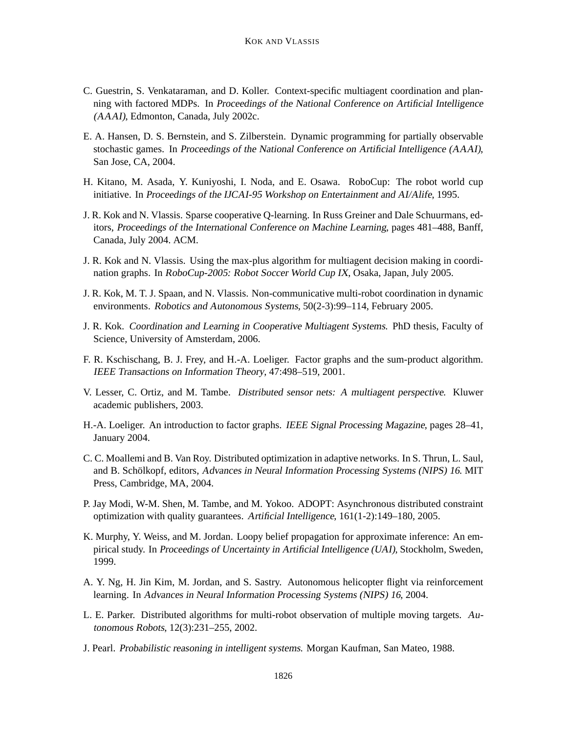- <span id="page-37-15"></span>C. Guestrin, S. Venkataraman, and D. Koller. Context-specific multiagent coordination and planning with factored MDPs. In Proceedings of the National Conference on Artificial Intelligence (AAAI), Edmonton, Canada, July 2002c.
- <span id="page-37-14"></span>E. A. Hansen, D. S. Bernstein, and S. Zilberstein. Dynamic programming for partially observable stochastic games. In Proceedings of the National Conference on Artificial Intelligence (AAAI), San Jose, CA, 2004.
- <span id="page-37-3"></span>H. Kitano, M. Asada, Y. Kuniyoshi, I. Noda, and E. Osawa. RoboCup: The robot world cup initiative. In Proceedings of the IJCAI-95 Workshop on Entertainment and AI/Alife, 1995.
- <span id="page-37-8"></span>J. R. Kok and N. Vlassis. Sparse cooperative Q-learning. In Russ Greiner and Dale Schuurmans, editors, Proceedings of the International Conference on Machine Learning, pages 481–488, Banff, Canada, July 2004. ACM.
- <span id="page-37-6"></span>J. R. Kok and N. Vlassis. Using the max-plus algorithm for multiagent decision making in coordination graphs. In RoboCup-2005: Robot Soccer World Cup IX, Osaka, Japan, July 2005.
- <span id="page-37-4"></span>J. R. Kok, M. T. J. Spaan, and N. Vlassis. Non-communicative multi-robot coordination in dynamic environments. Robotics and Autonomous Systems, 50(2-3):99–114, February 2005.
- <span id="page-37-13"></span>J. R. Kok. Coordination and Learning in Cooperative Multiagent Systems. PhD thesis, Faculty of Science, University of Amsterdam, 2006.
- <span id="page-37-11"></span>F. R. Kschischang, B. J. Frey, and H.-A. Loeliger. Factor graphs and the sum-product algorithm. IEEE Transactions on Information Theory, 47:498–519, 2001.
- <span id="page-37-1"></span>V. Lesser, C. Ortiz, and M. Tambe. Distributed sensor nets: <sup>A</sup> multiagent perspective. Kluwer academic publishers, 2003.
- <span id="page-37-10"></span>H.-A. Loeliger. An introduction to factor graphs. IEEE Signal Processing Magazine, pages 28–41, January 2004.
- <span id="page-37-9"></span>C. C. Moallemi and B. Van Roy. Distributed optimization in adaptive networks. In S. Thrun, L. Saul, and B. Schölkopf, editors, Advances in Neural Information Processing Systems (NIPS) 16. MIT Press, Cambridge, MA, 2004.
- <span id="page-37-2"></span>P. Jay Modi, W-M. Shen, M. Tambe, and M. Yokoo. ADOPT: Asynchronous distributed constraint optimization with quality guarantees. Artificial Intelligence, 161(1-2):149–180, 2005.
- <span id="page-37-12"></span>K. Murphy, Y. Weiss, and M. Jordan. Loopy belief propagation for approximate inference: An empirical study. In Proceedings of Uncertainty in Artificial Intelligence (UAI), Stockholm, Sweden, 1999.
- <span id="page-37-5"></span>A. Y. Ng, H. Jin Kim, M. Jordan, and S. Sastry. Autonomous helicopter flight via reinforcement learning. In Advances in Neural Information Processing Systems (NIPS) <sup>16</sup>, 2004.
- <span id="page-37-0"></span>L. E. Parker. Distributed algorithms for multi-robot observation of multiple moving targets. Autonomous Robots, 12(3):231–255, 2002.
- <span id="page-37-7"></span>J. Pearl. Probabilistic reasoning in intelligent systems. Morgan Kaufman, San Mateo, 1988.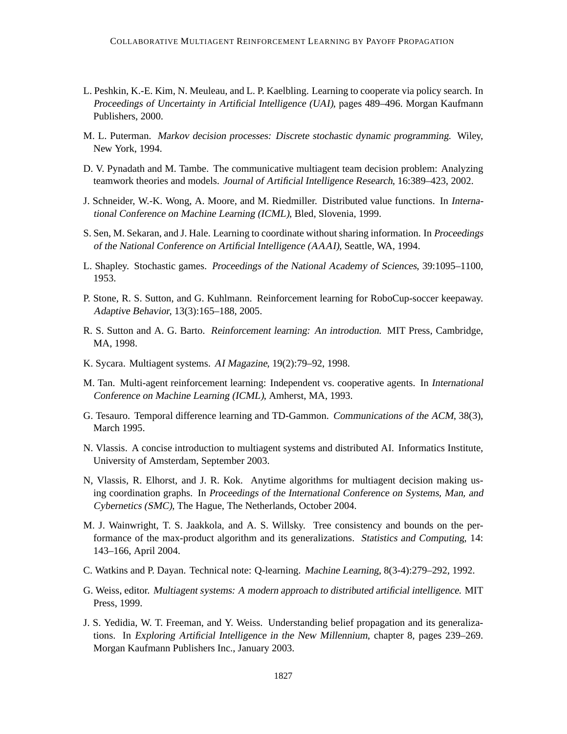- <span id="page-38-7"></span>L. Peshkin, K.-E. Kim, N. Meuleau, and L. P. Kaelbling. Learning to cooperate via policy search. In Proceedings of Uncertainty in Artificial Intelligence (UAI), pages 489–496. Morgan Kaufmann Publishers, 2000.
- <span id="page-38-10"></span>M. L. Puterman. Markov decision processes: Discrete stochastic dynamic programming. Wiley, New York, 1994.
- <span id="page-38-5"></span>D. V. Pynadath and M. Tambe. The communicative multiagent team decision problem: Analyzing teamwork theories and models. Journal of Artificial Intelligence Research, 16:389–423, 2002.
- <span id="page-38-15"></span>J. Schneider, W.-K. Wong, A. Moore, and M. Riedmiller. Distributed value functions. In International Conference on Machine Learning (ICML), Bled, Slovenia, 1999.
- <span id="page-38-14"></span>S. Sen, M. Sekaran, and J. Hale. Learning to coordinate without sharing information. In Proceedings of the National Conference on Artificial Intelligence (AAAI), Seattle, WA, 1994.
- <span id="page-38-11"></span>L. Shapley. Stochastic games. Proceedings of the National Academy of Sciences, 39:1095–1100, 1953.
- P. Stone, R. S. Sutton, and G. Kuhlmann. Reinforcement learning for RoboCup-soccer keepaway. Adaptive Behavior, 13(3):165–188, 2005.
- <span id="page-38-12"></span>R. S. Sutton and A. G. Barto. Reinforcement learning: An introduction. MIT Press, Cambridge, MA, 1998.
- <span id="page-38-0"></span>K. Sycara. Multiagent systems. AI Magazine, 19(2):79–92, 1998.
- <span id="page-38-3"></span>M. Tan. Multi-agent reinforcement learning: Independent vs. cooperative agents. In International Conference on Machine Learning (ICML), Amherst, MA, 1993.
- <span id="page-38-4"></span>G. Tesauro. Temporal difference learning and TD-Gammon. Communications of the ACM, 38(3), March 1995.
- <span id="page-38-2"></span>N. Vlassis. A concise introduction to multiagent systems and distributed AI. Informatics Institute, University of Amsterdam, September 2003.
- <span id="page-38-6"></span>N, Vlassis, R. Elhorst, and J. R. Kok. Anytime algorithms for multiagent decision making using coordination graphs. In Proceedings of the International Conference on Systems, Man, and Cybernetics (SMC), The Hague, The Netherlands, October 2004.
- <span id="page-38-9"></span>M. J. Wainwright, T. S. Jaakkola, and A. S. Willsky. Tree consistency and bounds on the performance of the max-product algorithm and its generalizations. Statistics and Computing, 14: 143–166, April 2004.
- <span id="page-38-13"></span>C. Watkins and P. Dayan. Technical note: Q-learning. Machine Learning, 8(3-4):279–292, 1992.
- <span id="page-38-1"></span>G. Weiss, editor. Multiagent systems: <sup>A</sup> modern approach to distributed artificial intelligence. MIT Press, 1999.
- <span id="page-38-8"></span>J. S. Yedidia, W. T. Freeman, and Y. Weiss. Understanding belief propagation and its generalizations. In Exploring Artificial Intelligence in the New Millennium, chapter 8, pages 239–269. Morgan Kaufmann Publishers Inc., January 2003.